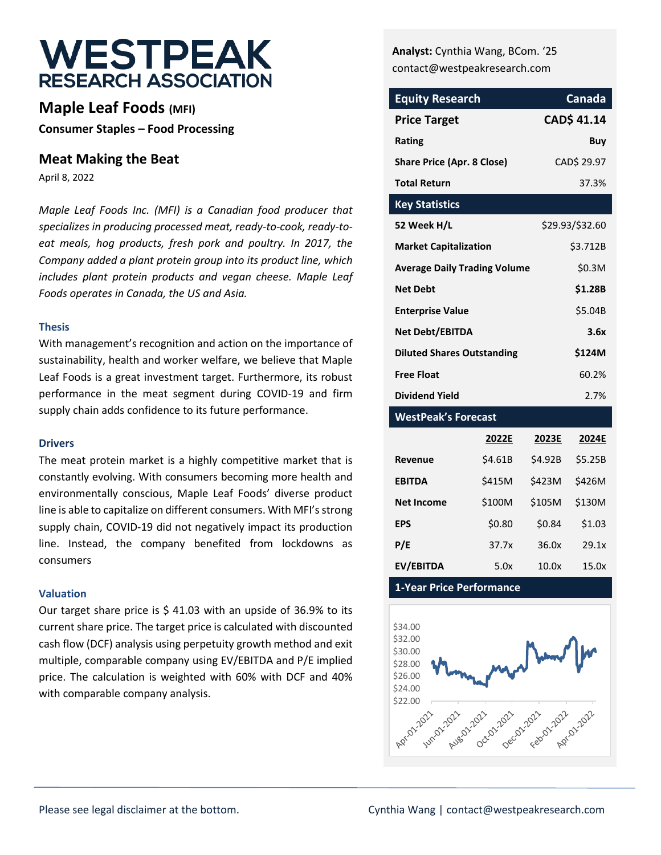# **WESTPEAK RESEARCH ASSOCIATION**

**Maple Leaf Foods (MFI) Consumer Staples – Food Processing**

### **Meat Making the Beat**

April 8, 2022

*Maple Leaf Foods Inc. (MFI) is a Canadian food producer that specializes in producing processed meat, ready-to-cook, ready-toeat meals, hog products, fresh pork and poultry. In 2017, the Company added a plant protein group into its product line, which includes plant protein products and vegan cheese. Maple Leaf Foods operates in Canada, the US and Asia.*

#### **Thesis**

With management's recognition and action on the importance of sustainability, health and worker welfare, we believe that Maple Leaf Foods is a great investment target. Furthermore, its robust performance in the meat segment during COVID-19 and firm supply chain adds confidence to its future performance.

#### **Drivers**

The meat protein market is a highly competitive market that is constantly evolving. With consumers becoming more health and environmentally conscious, Maple Leaf Foods' diverse product line is able to capitalize on different consumers. With MFI's strong supply chain, COVID-19 did not negatively impact its production line. Instead, the company benefited from lockdowns as consumers

#### **Valuation**

Our target share price is \$ 41.03 with an upside of 36.9% to its current share price. The target price is calculated with discounted cash flow (DCF) analysis using perpetuity growth method and exit multiple, comparable company using EV/EBITDA and P/E implied price. The calculation is weighted with 60% with DCF and 40% with comparable company analysis.

**Analyst:** Cynthia Wang, BCom. '25 contact@westpeakresearch.com

| <b>Equity Research</b>              | <b>Canada</b>      |
|-------------------------------------|--------------------|
| <b>Price Target</b>                 | <b>CAD\$ 41.14</b> |
| Rating                              | Buv                |
| <b>Share Price (Apr. 8 Close)</b>   | CAD\$ 29.97        |
| <b>Total Return</b>                 | 37.3%              |
| <b>Key Statistics</b>               |                    |
| 52 Week H/L                         | \$29.93/\$32.60    |
| <b>Market Capitalization</b>        | \$3.712B           |
| <b>Average Daily Trading Volume</b> | \$0.3M             |
| <b>Net Debt</b>                     | \$1.28B            |
| <b>Enterprise Value</b>             | \$5.04B            |
| Net Debt/EBITDA                     | 3.6x               |
| <b>Diluted Shares Outstanding</b>   | \$124M             |
| <b>Free Float</b>                   | 60.2%              |
| <b>Dividend Yield</b>               | 2.7%               |

#### **WestPeak's Forecast**

|                   | 2022E   | 2023E   | 2024E   |
|-------------------|---------|---------|---------|
| Revenue           | \$4.61B | \$4.92B | \$5.25B |
| <b>EBITDA</b>     | \$415M  | \$423M  | \$426M  |
| <b>Net Income</b> | \$100M  | \$105M  | \$130M  |
| EPS               | \$0.80  | \$0.84  | \$1.03  |
| P/E               | 37.7x   | 36.0x   | 29.1x   |
| EV/EBITDA         | 5.0x    | 10.0x   | 15.0x   |

#### **1-Year Price Performance**

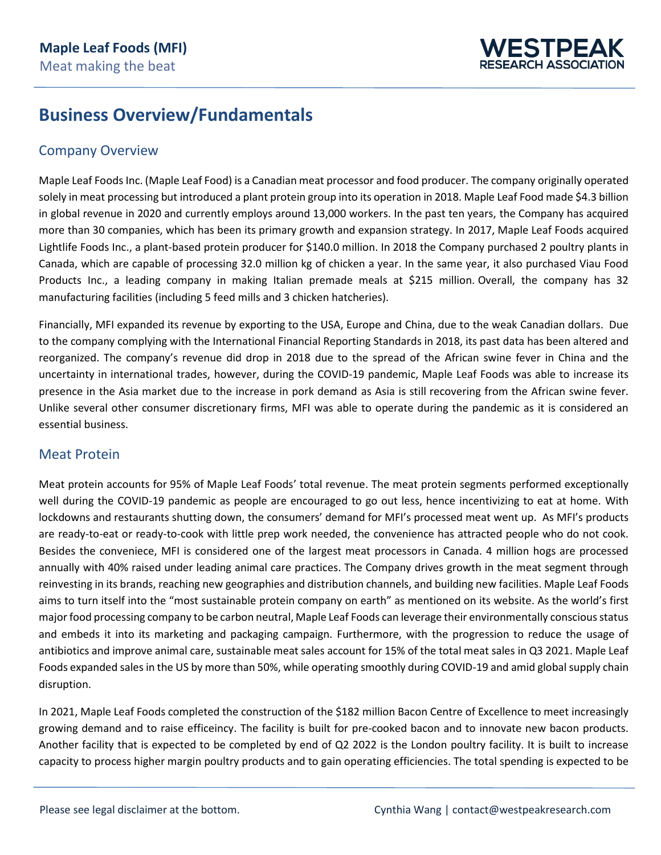

## **Business Overview/Fundamentals**

## Company Overview

Maple Leaf Foods Inc. (Maple Leaf Food) is a Canadian meat processor and food producer. The company originally operated solely in meat processing but introduced a plant protein group into its operation in 2018. Maple Leaf Food made \$4.3 billion in global revenue in 2020 and currently employs around 13,000 workers. In the past ten years, the Company has acquired more than 30 companies, which has been its primary growth and expansion strategy. In 2017, Maple Leaf Foods acquired Lightlife Foods Inc., a plant-based protein producer for \$140.0 million. In 2018 the Company purchased 2 poultry plants in Canada, which are capable of processing 32.0 million kg of chicken a year. In the same year, it also purchased Viau Food Products Inc., a leading company in making Italian premade meals at \$215 million. Overall, the company has 32 manufacturing facilities (including 5 feed mills and 3 chicken hatcheries).

Financially, MFI expanded its revenue by exporting to the USA, Europe and China, due to the weak Canadian dollars. Due to the company complying with the International Financial Reporting Standards in 2018, its past data has been altered and reorganized. The company's revenue did drop in 2018 due to the spread of the African swine fever in China and the uncertainty in international trades, however, during the COVID-19 pandemic, Maple Leaf Foods was able to increase its presence in the Asia market due to the increase in pork demand as Asia is still recovering from the African swine fever. Unlike several other consumer discretionary firms, MFI was able to operate during the pandemic as it is considered an essential business.

## Meat Protein

Meat protein accounts for 95% of Maple Leaf Foods' total revenue. The meat protein segments performed exceptionally well during the COVID-19 pandemic as people are encouraged to go out less, hence incentivizing to eat at home. With lockdowns and restaurants shutting down, the consumers' demand for MFI's processed meat went up. As MFI's products are ready-to-eat or ready-to-cook with little prep work needed, the convenience has attracted people who do not cook. Besides the conveniece, MFI is considered one of the largest meat processors in Canada. 4 million hogs are processed annually with 40% raised under leading animal care practices. The Company drives growth in the meat segment through reinvesting in its brands, reaching new geographies and distribution channels, and building new facilities. Maple Leaf Foods aims to turn itself into the "most sustainable protein company on earth" as mentioned on its website. As the world's first major food processing company to be carbon neutral, Maple Leaf Foods can leverage their environmentally conscious status and embeds it into its marketing and packaging campaign. Furthermore, with the progression to reduce the usage of antibiotics and improve animal care, sustainable meat sales account for 15% of the total meat sales in Q3 2021. Maple Leaf Foods expanded sales in the US by more than 50%, while operating smoothly during COVID-19 and amid global supply chain disruption.

In 2021, Maple Leaf Foods completed the construction of the \$182 million Bacon Centre of Excellence to meet increasingly growing demand and to raise efficeincy. The facility is built for pre-cooked bacon and to innovate new bacon products. Another facility that is expected to be completed by end of Q2 2022 is the London poultry facility. It is built to increase capacity to process higher margin poultry products and to gain operating efficiencies. The total spending is expected to be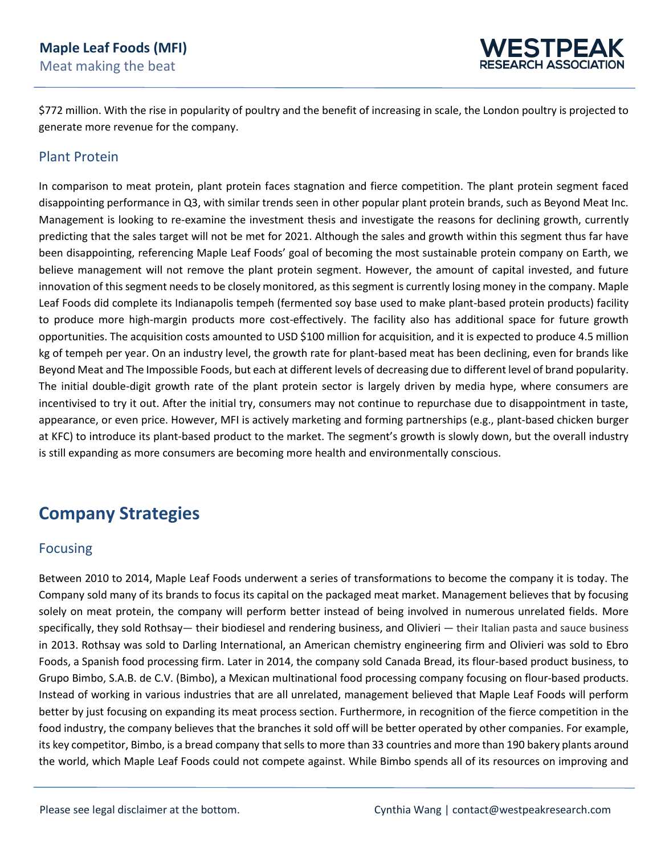

\$772 million. With the rise in popularity of poultry and the benefit of increasing in scale, the London poultry is projected to generate more revenue for the company.

### Plant Protein

In comparison to meat protein, plant protein faces stagnation and fierce competition. The plant protein segment faced disappointing performance in Q3, with similar trends seen in other popular plant protein brands, such as Beyond Meat Inc. Management is looking to re-examine the investment thesis and investigate the reasons for declining growth, currently predicting that the sales target will not be met for 2021. Although the sales and growth within this segment thus far have been disappointing, referencing Maple Leaf Foods' goal of becoming the most sustainable protein company on Earth, we believe management will not remove the plant protein segment. However, the amount of capital invested, and future innovation of this segment needs to be closely monitored, as this segment is currently losing money in the company. Maple Leaf Foods did complete its Indianapolis tempeh (fermented soy base used to make plant-based protein products) facility to produce more high-margin products more cost-effectively. The facility also has additional space for future growth opportunities. The acquisition costs amounted to USD \$100 million for acquisition, and it is expected to produce 4.5 million kg of tempeh per year. On an industry level, the growth rate for plant-based meat has been declining, even for brands like Beyond Meat and The Impossible Foods, but each at different levels of decreasing due to different level of brand popularity. The initial double-digit growth rate of the plant protein sector is largely driven by media hype, where consumers are incentivised to try it out. After the initial try, consumers may not continue to repurchase due to disappointment in taste, appearance, or even price. However, MFI is actively marketing and forming partnerships (e.g., plant-based chicken burger at KFC) to introduce its plant-based product to the market. The segment's growth is slowly down, but the overall industry is still expanding as more consumers are becoming more health and environmentally conscious.

## **Company Strategies**

### Focusing

Between 2010 to 2014, Maple Leaf Foods underwent a series of transformations to become the company it is today. The Company sold many of its brands to focus its capital on the packaged meat market. Management believes that by focusing solely on meat protein, the company will perform better instead of being involved in numerous unrelated fields. More specifically, they sold Rothsay— their biodiesel and rendering business, and Olivieri — their Italian pasta and sauce business in 2013. Rothsay was sold to Darling International, an American chemistry engineering firm and Olivieri was sold to Ebro Foods, a Spanish food processing firm. Later in 2014, the company sold Canada Bread, its flour-based product business, to Grupo Bimbo, S.A.B. de C.V. (Bimbo), a Mexican multinational food processing company focusing on flour-based products. Instead of working in various industries that are all unrelated, management believed that Maple Leaf Foods will perform better by just focusing on expanding its meat process section. Furthermore, in recognition of the fierce competition in the food industry, the company believes that the branches it sold off will be better operated by other companies. For example, its key competitor, Bimbo, is a bread company that sells to more than 33 countries and more than 190 bakery plants around the world, which Maple Leaf Foods could not compete against. While Bimbo spends all of its resources on improving and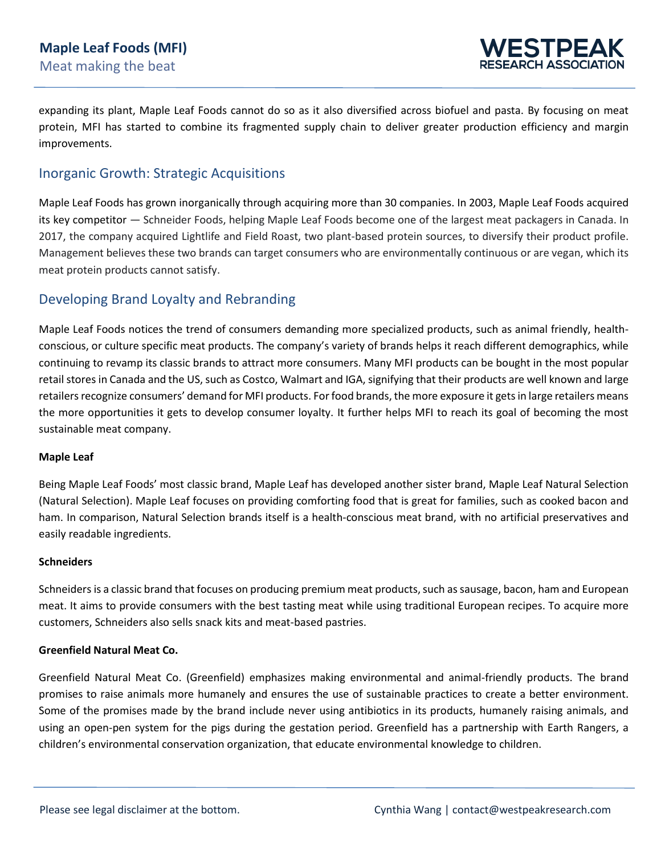

expanding its plant, Maple Leaf Foods cannot do so as it also diversified across biofuel and pasta. By focusing on meat protein, MFI has started to combine its fragmented supply chain to deliver greater production efficiency and margin improvements.

## Inorganic Growth: Strategic Acquisitions

Maple Leaf Foods has grown inorganically through acquiring more than 30 companies. In 2003, Maple Leaf Foods acquired its key competitor — Schneider Foods, helping Maple Leaf Foods become one of the largest meat packagers in Canada. In 2017, the company acquired Lightlife and Field Roast, two plant-based protein sources, to diversify their product profile. Management believes these two brands can target consumers who are environmentally continuous or are vegan, which its meat protein products cannot satisfy.

## Developing Brand Loyalty and Rebranding

Maple Leaf Foods notices the trend of consumers demanding more specialized products, such as animal friendly, healthconscious, or culture specific meat products. The company's variety of brands helps it reach different demographics, while continuing to revamp its classic brands to attract more consumers. Many MFI products can be bought in the most popular retail stores in Canada and the US, such as Costco, Walmart and IGA, signifying that their products are well known and large retailers recognize consumers' demand for MFI products. For food brands, the more exposure it gets in large retailers means the more opportunities it gets to develop consumer loyalty. It further helps MFI to reach its goal of becoming the most sustainable meat company.

#### **Maple Leaf**

Being Maple Leaf Foods' most classic brand, Maple Leaf has developed another sister brand, Maple Leaf Natural Selection (Natural Selection). Maple Leaf focuses on providing comforting food that is great for families, such as cooked bacon and ham. In comparison, Natural Selection brands itself is a health-conscious meat brand, with no artificial preservatives and easily readable ingredients.

#### **Schneiders**

Schneiders is a classic brand that focuses on producing premium meat products, such as sausage, bacon, ham and European meat. It aims to provide consumers with the best tasting meat while using traditional European recipes. To acquire more customers, Schneiders also sells snack kits and meat-based pastries.

#### **Greenfield Natural Meat Co.**

Greenfield Natural Meat Co. (Greenfield) emphasizes making environmental and animal-friendly products. The brand promises to raise animals more humanely and ensures the use of sustainable practices to create a better environment. Some of the promises made by the brand include never using antibiotics in its products, humanely raising animals, and using an open-pen system for the pigs during the gestation period. Greenfield has a partnership with Earth Rangers, a children's environmental conservation organization, that educate environmental knowledge to children.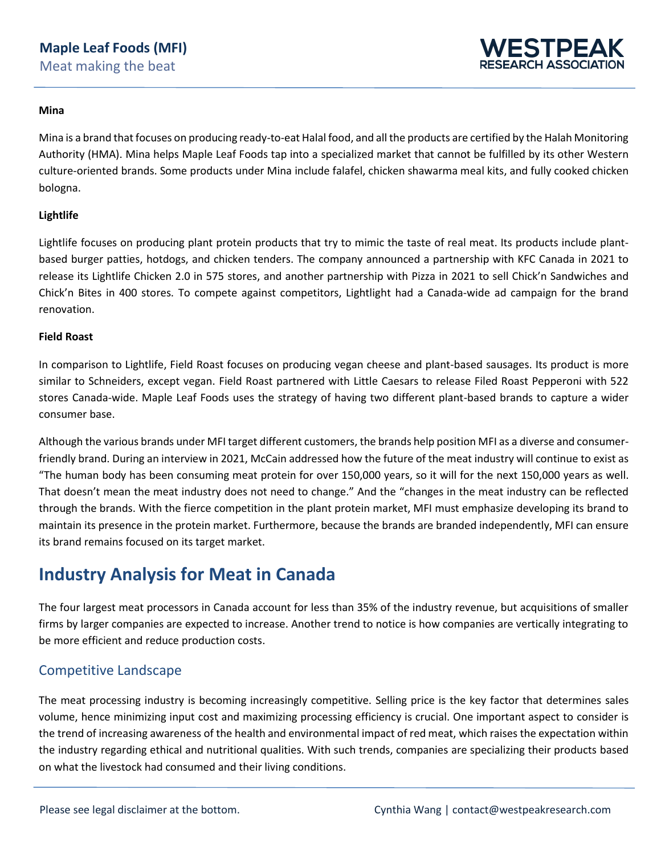

#### **Mina**

Mina is a brand that focuses on producing ready-to-eat Halal food, and all the products are certified by the Halah Monitoring Authority (HMA). Mina helps Maple Leaf Foods tap into a specialized market that cannot be fulfilled by its other Western culture-oriented brands. Some products under Mina include falafel, chicken shawarma meal kits, and fully cooked chicken bologna.

#### **Lightlife**

Lightlife focuses on producing plant protein products that try to mimic the taste of real meat. Its products include plantbased burger patties, hotdogs, and chicken tenders. The company announced a partnership with KFC Canada in 2021 to release its Lightlife Chicken 2.0 in 575 stores, and another partnership with Pizza in 2021 to sell Chick'n Sandwiches and Chick'n Bites in 400 stores. To compete against competitors, Lightlight had a Canada-wide ad campaign for the brand renovation.

#### **Field Roast**

In comparison to Lightlife, Field Roast focuses on producing vegan cheese and plant-based sausages. Its product is more similar to Schneiders, except vegan. Field Roast partnered with Little Caesars to release Filed Roast Pepperoni with 522 stores Canada-wide. Maple Leaf Foods uses the strategy of having two different plant-based brands to capture a wider consumer base.

Although the various brands under MFI target different customers, the brands help position MFI as a diverse and consumerfriendly brand. During an interview in 2021, McCain addressed how the future of the meat industry will continue to exist as "The human body has been consuming meat protein for over 150,000 years, so it will for the next 150,000 years as well. That doesn't mean the meat industry does not need to change." And the "changes in the meat industry can be reflected through the brands. With the fierce competition in the plant protein market, MFI must emphasize developing its brand to maintain its presence in the protein market. Furthermore, because the brands are branded independently, MFI can ensure its brand remains focused on its target market.

## **Industry Analysis for Meat in Canada**

The four largest meat processors in Canada account for less than 35% of the industry revenue, but acquisitions of smaller firms by larger companies are expected to increase. Another trend to notice is how companies are vertically integrating to be more efficient and reduce production costs.

## Competitive Landscape

The meat processing industry is becoming increasingly competitive. Selling price is the key factor that determines sales volume, hence minimizing input cost and maximizing processing efficiency is crucial. One important aspect to consider is the trend of increasing awareness of the health and environmental impact of red meat, which raises the expectation within the industry regarding ethical and nutritional qualities. With such trends, companies are specializing their products based on what the livestock had consumed and their living conditions.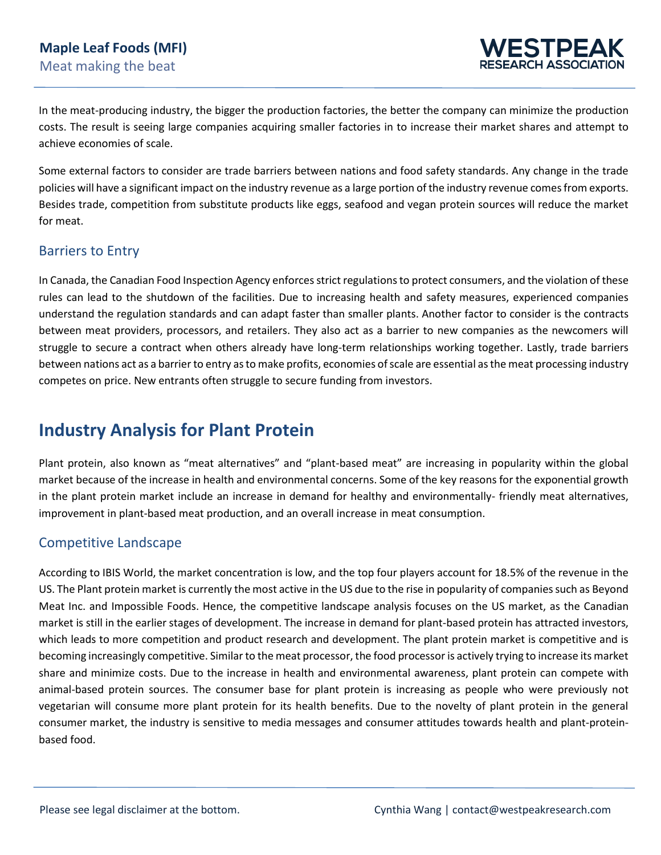

In the meat-producing industry, the bigger the production factories, the better the company can minimize the production costs. The result is seeing large companies acquiring smaller factories in to increase their market shares and attempt to achieve economies of scale.

Some external factors to consider are trade barriers between nations and food safety standards. Any change in the trade policies will have a significant impact on the industry revenue as a large portion of the industry revenue comes from exports. Besides trade, competition from substitute products like eggs, seafood and vegan protein sources will reduce the market for meat.

### Barriers to Entry

In Canada, the Canadian Food Inspection Agency enforces strict regulations to protect consumers, and the violation of these rules can lead to the shutdown of the facilities. Due to increasing health and safety measures, experienced companies understand the regulation standards and can adapt faster than smaller plants. Another factor to consider is the contracts between meat providers, processors, and retailers. They also act as a barrier to new companies as the newcomers will struggle to secure a contract when others already have long-term relationships working together. Lastly, trade barriers between nations act as a barrier to entry asto make profits, economies of scale are essential as the meat processing industry competes on price. New entrants often struggle to secure funding from investors.

## **Industry Analysis for Plant Protein**

Plant protein, also known as "meat alternatives" and "plant-based meat" are increasing in popularity within the global market because of the increase in health and environmental concerns. Some of the key reasons for the exponential growth in the plant protein market include an increase in demand for healthy and environmentally- friendly meat alternatives, improvement in plant-based meat production, and an overall increase in meat consumption.

## Competitive Landscape

According to IBIS World, the market concentration is low, and the top four players account for 18.5% of the revenue in the US. The Plant protein market is currently the most active in the US due to the rise in popularity of companies such as Beyond Meat Inc. and Impossible Foods. Hence, the competitive landscape analysis focuses on the US market, as the Canadian market is still in the earlier stages of development. The increase in demand for plant-based protein has attracted investors, which leads to more competition and product research and development. The plant protein market is competitive and is becoming increasingly competitive. Similar to the meat processor, the food processor is actively trying to increase its market share and minimize costs. Due to the increase in health and environmental awareness, plant protein can compete with animal-based protein sources. The consumer base for plant protein is increasing as people who were previously not vegetarian will consume more plant protein for its health benefits. Due to the novelty of plant protein in the general consumer market, the industry is sensitive to media messages and consumer attitudes towards health and plant-proteinbased food.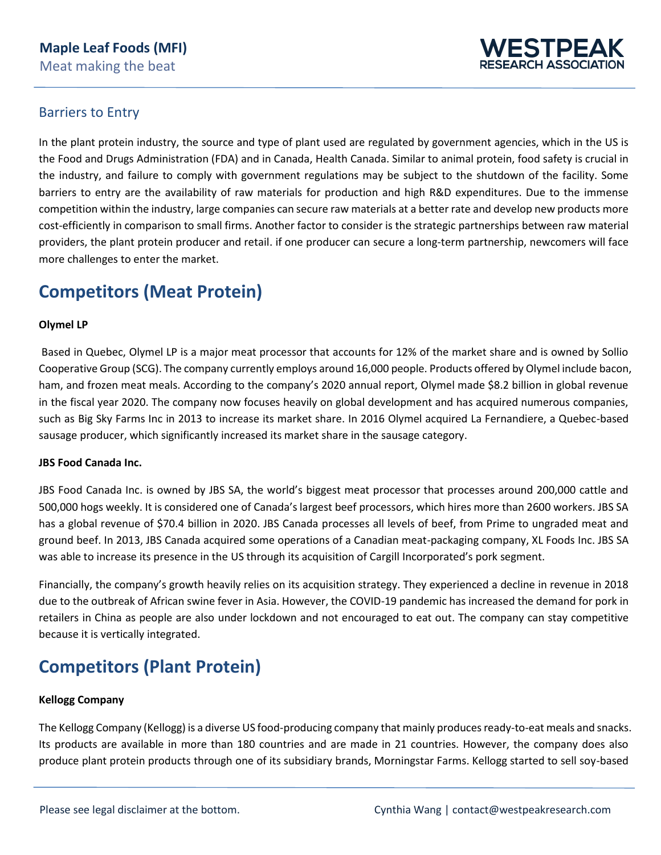

## Barriers to Entry

In the plant protein industry, the source and type of plant used are regulated by government agencies, which in the US is the Food and Drugs Administration (FDA) and in Canada, Health Canada. Similar to animal protein, food safety is crucial in the industry, and failure to comply with government regulations may be subject to the shutdown of the facility. Some barriers to entry are the availability of raw materials for production and high R&D expenditures. Due to the immense competition within the industry, large companies can secure raw materials at a better rate and develop new products more cost-efficiently in comparison to small firms. Another factor to consider is the strategic partnerships between raw material providers, the plant protein producer and retail. if one producer can secure a long-term partnership, newcomers will face more challenges to enter the market.

## **Competitors (Meat Protein)**

#### **Olymel LP**

Based in Quebec, Olymel LP is a major meat processor that accounts for 12% of the market share and is owned by Sollio Cooperative Group (SCG). The company currently employs around 16,000 people. Products offered by Olymel include bacon, ham, and frozen meat meals. According to the company's 2020 annual report, Olymel made \$8.2 billion in global revenue in the fiscal year 2020. The company now focuses heavily on global development and has acquired numerous companies, such as Big Sky Farms Inc in 2013 to increase its market share. In 2016 Olymel acquired La Fernandiere, a Quebec-based sausage producer, which significantly increased its market share in the sausage category.

#### **JBS Food Canada Inc.**

JBS Food Canada Inc. is owned by JBS SA, the world's biggest meat processor that processes around 200,000 cattle and 500,000 hogs weekly. It is considered one of Canada's largest beef processors, which hires more than 2600 workers. JBS SA has a global revenue of \$70.4 billion in 2020. JBS Canada processes all levels of beef, from Prime to ungraded meat and ground beef. In 2013, JBS Canada acquired some operations of a Canadian meat-packaging company, XL Foods Inc. JBS SA was able to increase its presence in the US through its acquisition of Cargill Incorporated's pork segment.

Financially, the company's growth heavily relies on its acquisition strategy. They experienced a decline in revenue in 2018 due to the outbreak of African swine fever in Asia. However, the COVID-19 pandemic has increased the demand for pork in retailers in China as people are also under lockdown and not encouraged to eat out. The company can stay competitive because it is vertically integrated.

## **Competitors (Plant Protein)**

#### **Kellogg Company**

The Kellogg Company (Kellogg) is a diverse US food-producing company that mainly produces ready-to-eat meals and snacks. Its products are available in more than 180 countries and are made in 21 countries. However, the company does also produce plant protein products through one of its subsidiary brands, Morningstar Farms. Kellogg started to sell soy-based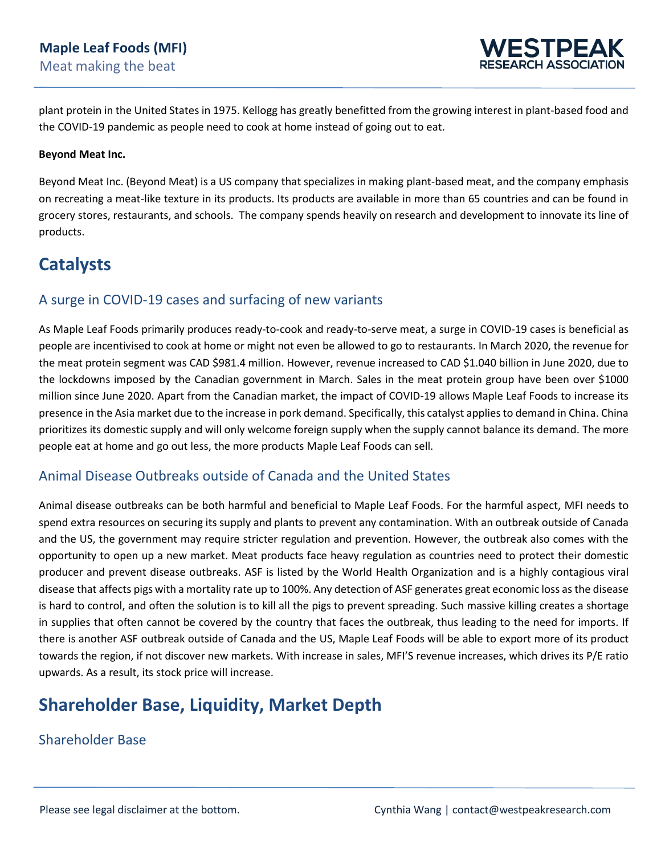

plant protein in the United States in 1975. Kellogg has greatly benefitted from the growing interest in plant-based food and the COVID-19 pandemic as people need to cook at home instead of going out to eat.

#### **Beyond Meat Inc.**

Beyond Meat Inc. (Beyond Meat) is a US company that specializes in making plant-based meat, and the company emphasis on recreating a meat-like texture in its products. Its products are available in more than 65 countries and can be found in grocery stores, restaurants, and schools. The company spends heavily on research and development to innovate its line of products.

## **Catalysts**

### A surge in COVID-19 cases and surfacing of new variants

As Maple Leaf Foods primarily produces ready-to-cook and ready-to-serve meat, a surge in COVID-19 cases is beneficial as people are incentivised to cook at home or might not even be allowed to go to restaurants. In March 2020, the revenue for the meat protein segment was CAD \$981.4 million. However, revenue increased to CAD \$1.040 billion in June 2020, due to the lockdowns imposed by the Canadian government in March. Sales in the meat protein group have been over \$1000 million since June 2020. Apart from the Canadian market, the impact of COVID-19 allows Maple Leaf Foods to increase its presence in the Asia market due to the increase in pork demand. Specifically, this catalyst applies to demand in China. China prioritizes its domestic supply and will only welcome foreign supply when the supply cannot balance its demand. The more people eat at home and go out less, the more products Maple Leaf Foods can sell.

## Animal Disease Outbreaks outside of Canada and the United States

Animal disease outbreaks can be both harmful and beneficial to Maple Leaf Foods. For the harmful aspect, MFI needs to spend extra resources on securing its supply and plants to prevent any contamination. With an outbreak outside of Canada and the US, the government may require stricter regulation and prevention. However, the outbreak also comes with the opportunity to open up a new market. Meat products face heavy regulation as countries need to protect their domestic producer and prevent disease outbreaks. ASF is listed by the World Health Organization and is a highly contagious viral disease that affects pigs with a mortality rate up to 100%. Any detection of ASF generates great economic loss as the disease is hard to control, and often the solution is to kill all the pigs to prevent spreading. Such massive killing creates a shortage in supplies that often cannot be covered by the country that faces the outbreak, thus leading to the need for imports. If there is another ASF outbreak outside of Canada and the US, Maple Leaf Foods will be able to export more of its product towards the region, if not discover new markets. With increase in sales, MFI'S revenue increases, which drives its P/E ratio upwards. As a result, its stock price will increase.

## **Shareholder Base, Liquidity, Market Depth**

### Shareholder Base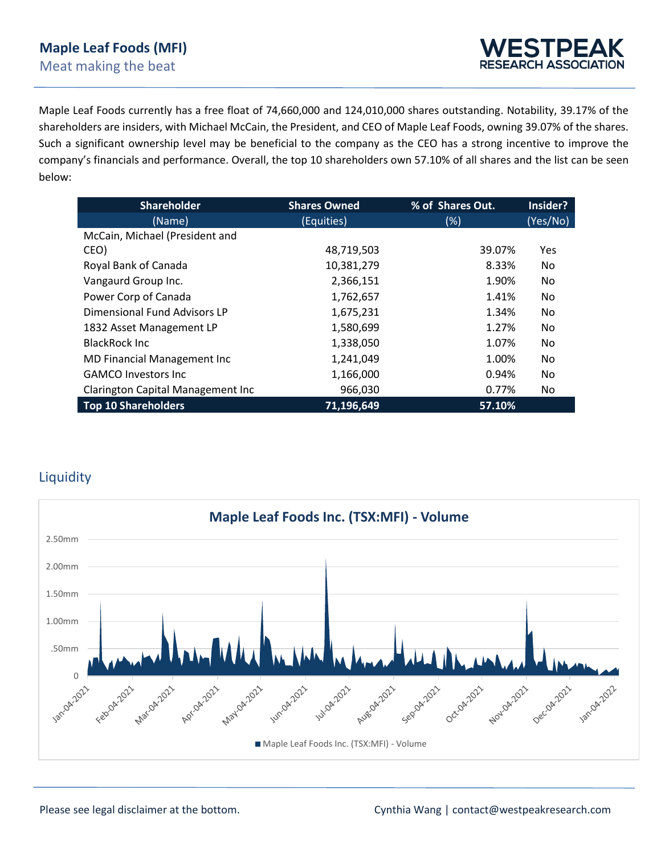Maple Leaf Foods currently has a free float of 74,660,000 and 124,010,000 shares outstanding. Notability, 39.17% of the shareholders are insiders, with Michael McCain, the President, and CEO of Maple Leaf Foods, owning 39.07% of the shares. Such a significant ownership level may be beneficial to the company as the CEO has a strong incentive to improve the company's financials and performance. Overall, the top 10 shareholders own 57.10% of all shares and the list can be seen below:

| <b>Shareholder</b>                | <b>Shares Owned</b> | % of Shares Out. | Insider? |  |
|-----------------------------------|---------------------|------------------|----------|--|
| (Name)                            | (Equities)          | $(\%)$           | (Yes/No) |  |
| McCain, Michael (President and    |                     |                  |          |  |
| CEO)                              | 48,719,503          | 39.07%           | Yes      |  |
| Royal Bank of Canada              | 10,381,279          | 8.33%            | No.      |  |
| Vangaurd Group Inc.               | 2,366,151           | 1.90%            | No       |  |
| Power Corp of Canada              | 1,762,657           | 1.41%            | No.      |  |
| Dimensional Fund Advisors LP      | 1,675,231           | 1.34%            | No       |  |
| 1832 Asset Management LP          | 1,580,699           | 1.27%            | No       |  |
| <b>BlackRock Inc.</b>             | 1,338,050           | 1.07%            | No       |  |
| MD Financial Management Inc       | 1,241,049           | 1.00%            | No       |  |
| <b>GAMCO Investors Inc.</b>       | 1,166,000           | 0.94%            | No       |  |
| Clarington Capital Management Inc | 966,030             | 0.77%            | No       |  |
| <b>Top 10 Shareholders</b>        | 71,196,649          | 57.10%           |          |  |

## Liquidity

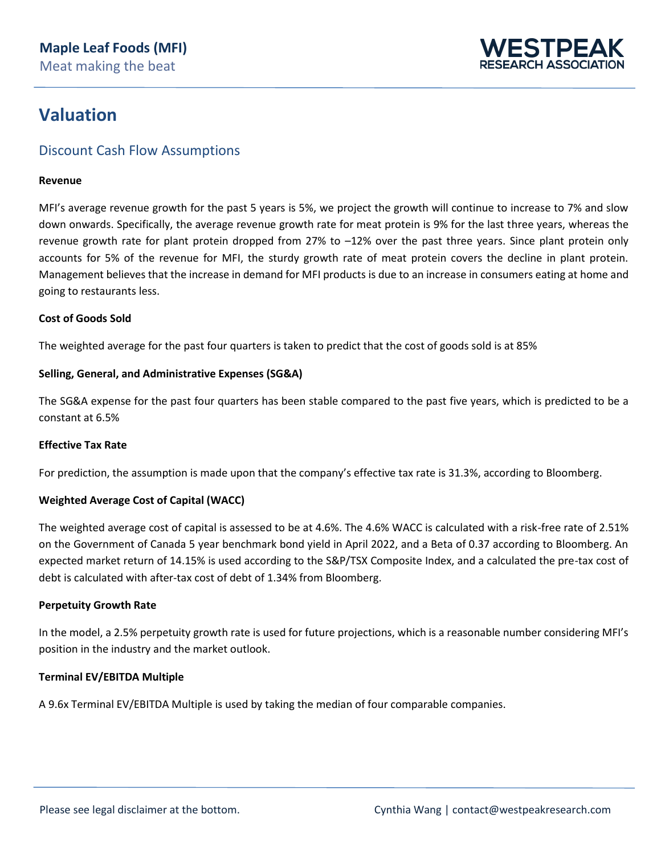

## **Valuation**

## Discount Cash Flow Assumptions

#### **Revenue**

MFI's average revenue growth for the past 5 years is 5%, we project the growth will continue to increase to 7% and slow down onwards. Specifically, the average revenue growth rate for meat protein is 9% for the last three years, whereas the revenue growth rate for plant protein dropped from 27% to –12% over the past three years. Since plant protein only accounts for 5% of the revenue for MFI, the sturdy growth rate of meat protein covers the decline in plant protein. Management believes that the increase in demand for MFI products is due to an increase in consumers eating at home and going to restaurants less.

#### **Cost of Goods Sold**

The weighted average for the past four quarters is taken to predict that the cost of goods sold is at 85%

#### **Selling, General, and Administrative Expenses (SG&A)**

The SG&A expense for the past four quarters has been stable compared to the past five years, which is predicted to be a constant at 6.5%

#### **Effective Tax Rate**

For prediction, the assumption is made upon that the company's effective tax rate is 31.3%, according to Bloomberg.

#### **Weighted Average Cost of Capital (WACC)**

The weighted average cost of capital is assessed to be at 4.6%. The 4.6% WACC is calculated with a risk-free rate of 2.51% on the Government of Canada 5 year benchmark bond yield in April 2022, and a Beta of 0.37 according to Bloomberg. An expected market return of 14.15% is used according to the S&P/TSX Composite Index, and a calculated the pre-tax cost of debt is calculated with after-tax cost of debt of 1.34% from Bloomberg.

#### **Perpetuity Growth Rate**

In the model, a 2.5% perpetuity growth rate is used for future projections, which is a reasonable number considering MFI's position in the industry and the market outlook.

#### **Terminal EV/EBITDA Multiple**

A 9.6x Terminal EV/EBITDA Multiple is used by taking the median of four comparable companies.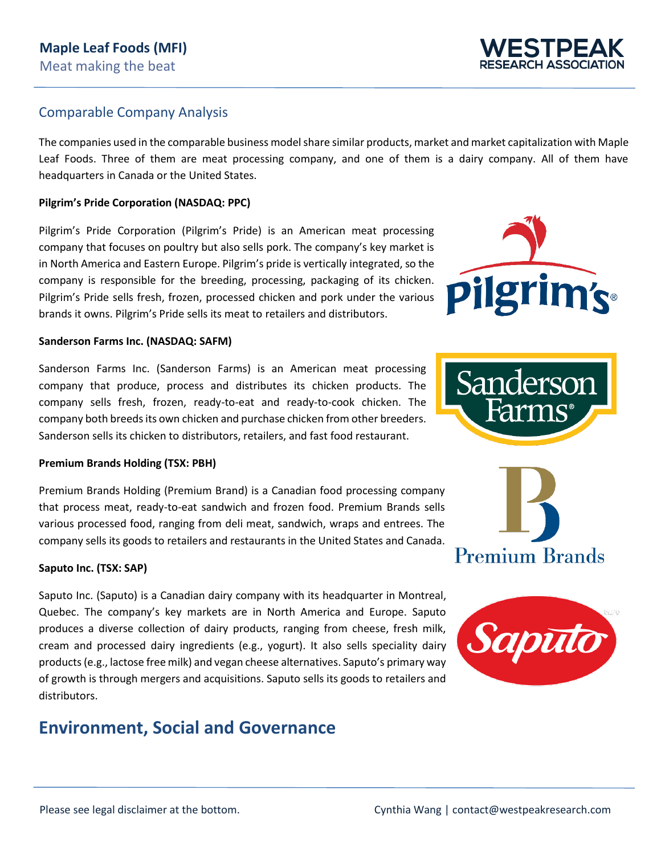### Comparable Company Analysis

The companies used in the comparable business model share similar products, market and market capitalization with Maple Leaf Foods. Three of them are meat processing company, and one of them is a dairy company. All of them have headquarters in Canada or the United States.

#### **Pilgrim's Pride Corporation (NASDAQ: PPC)**

Pilgrim's Pride Corporation (Pilgrim's Pride) is an American meat processing company that focuses on poultry but also sells pork. The company's key market is in North America and Eastern Europe. Pilgrim's pride is vertically integrated, so the company is responsible for the breeding, processing, packaging of its chicken. Pilgrim's Pride sells fresh, frozen, processed chicken and pork under the various brands it owns. Pilgrim's Pride sells its meat to retailers and distributors.

#### **Sanderson Farms Inc. (NASDAQ: SAFM)**

Sanderson Farms Inc. (Sanderson Farms) is an American meat processing company that produce, process and distributes its chicken products. The company sells fresh, frozen, ready-to-eat and ready-to-cook chicken. The company both breeds its own chicken and purchase chicken from other breeders. Sanderson sells its chicken to distributors, retailers, and fast food restaurant.

#### **Premium Brands Holding (TSX: PBH)**

Premium Brands Holding (Premium Brand) is a Canadian food processing company that process meat, ready-to-eat sandwich and frozen food. Premium Brands sells various processed food, ranging from deli meat, sandwich, wraps and entrees. The company sells its goods to retailers and restaurants in the United States and Canada.

#### **Saputo Inc. (TSX: SAP)**

Saputo Inc. (Saputo) is a Canadian dairy company with its headquarter in Montreal, Quebec. The company's key markets are in North America and Europe. Saputo produces a diverse collection of dairy products, ranging from cheese, fresh milk, cream and processed dairy ingredients (e.g., yogurt). It also sells speciality dairy products (e.g., lactose free milk) and vegan cheese alternatives. Saputo's primary way of growth is through mergers and acquisitions. Saputo sells its goods to retailers and distributors.

## **Environment, Social and Governance**



Sanderson







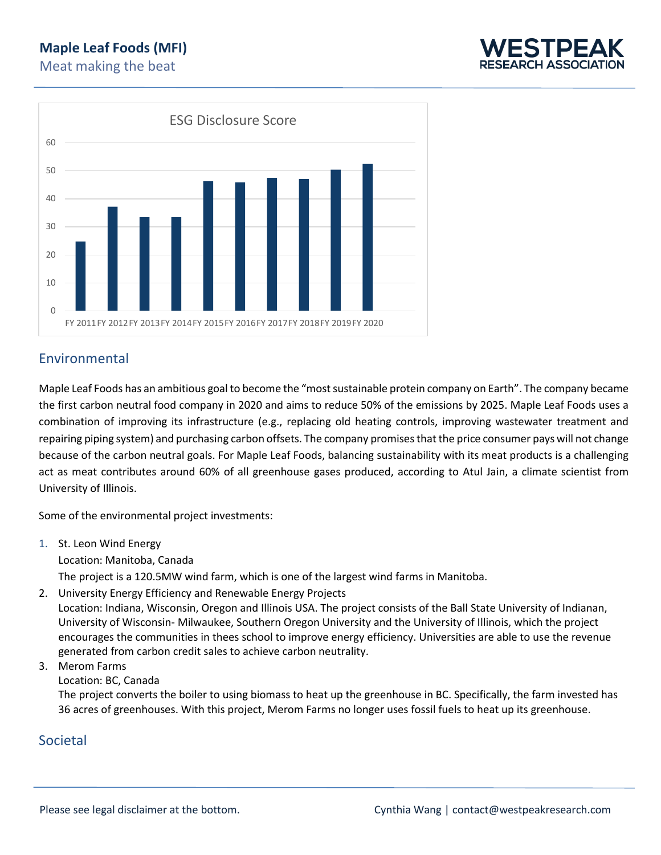



## Environmental

Maple Leaf Foods has an ambitious goal to become the "most sustainable protein company on Earth". The company became the first carbon neutral food company in 2020 and aims to reduce 50% of the emissions by 2025. Maple Leaf Foods uses a combination of improving its infrastructure (e.g., replacing old heating controls, improving wastewater treatment and repairing piping system) and purchasing carbon offsets. The company promisesthat the price consumer pays will not change because of the carbon neutral goals. For Maple Leaf Foods, balancing sustainability with its meat products is a challenging act as meat contributes around 60% of all greenhouse gases produced, according to Atul Jain, a climate scientist from University of Illinois.

Some of the environmental project investments:

1. St. Leon Wind Energy

Location: Manitoba, Canada

The project is a 120.5MW wind farm, which is one of the largest wind farms in Manitoba.

2. University Energy Efficiency and Renewable Energy Projects

Location: Indiana, Wisconsin, Oregon and Illinois USA. The project consists of the Ball State University of Indianan, University of Wisconsin- Milwaukee, Southern Oregon University and the University of Illinois, which the project encourages the communities in thees school to improve energy efficiency. Universities are able to use the revenue generated from carbon credit sales to achieve carbon neutrality.

#### 3. Merom Farms

Location: BC, Canada

The project converts the boiler to using biomass to heat up the greenhouse in BC. Specifically, the farm invested has 36 acres of greenhouses. With this project, Merom Farms no longer uses fossil fuels to heat up its greenhouse.

## Societal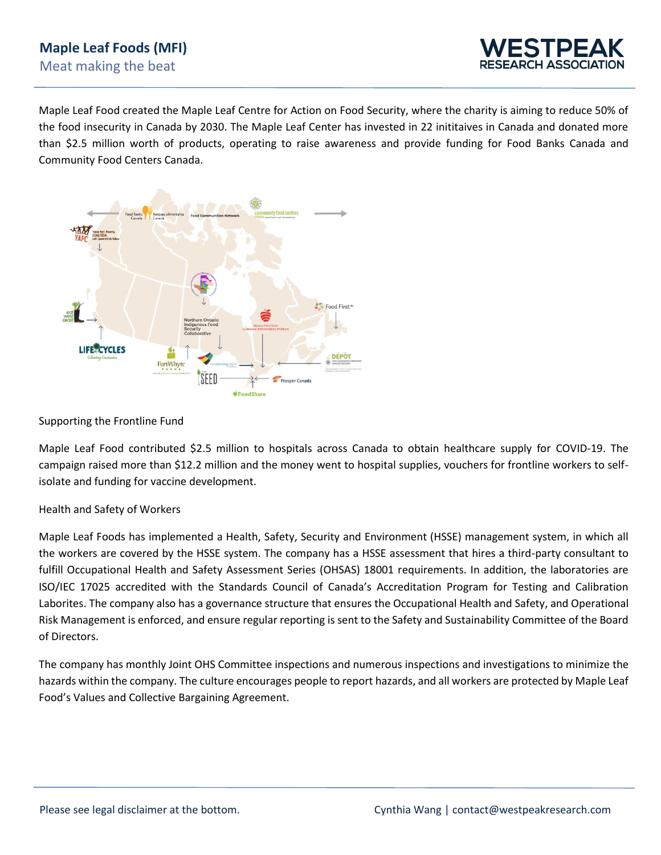

Maple Leaf Food created the Maple Leaf Centre for Action on Food Security, where the charity is aiming to reduce 50% of the food insecurity in Canada by 2030. The Maple Leaf Center has invested in 22 inititaives in Canada and donated more than \$2.5 million worth of products, operating to raise awareness and provide funding for Food Banks Canada and Community Food Centers Canada.



#### Supporting the Frontline Fund

Maple Leaf Food contributed \$2.5 million to hospitals across Canada to obtain healthcare supply for COVID-19. The campaign raised more than \$12.2 million and the money went to hospital supplies, vouchers for frontline workers to selfisolate and funding for vaccine development.

#### Health and Safety of Workers

Maple Leaf Foods has implemented a Health, Safety, Security and Environment (HSSE) management system, in which all the workers are covered by the HSSE system. The company has a HSSE assessment that hires a third-party consultant to fulfill Occupational Health and Safety Assessment Series (OHSAS) 18001 requirements. In addition, the laboratories are ISO/IEC 17025 accredited with the Standards Council of Canada's Accreditation Program for Testing and Calibration Laborites. The company also has a governance structure that ensures the Occupational Health and Safety, and Operational Risk Management is enforced, and ensure regular reporting is sent to the Safety and Sustainability Committee of the Board of Directors.

The company has monthly Joint OHS Committee inspections and numerous inspections and investigations to minimize the hazards within the company. The culture encourages people to report hazards, and all workers are protected by Maple Leaf Food's Values and Collective Bargaining Agreement.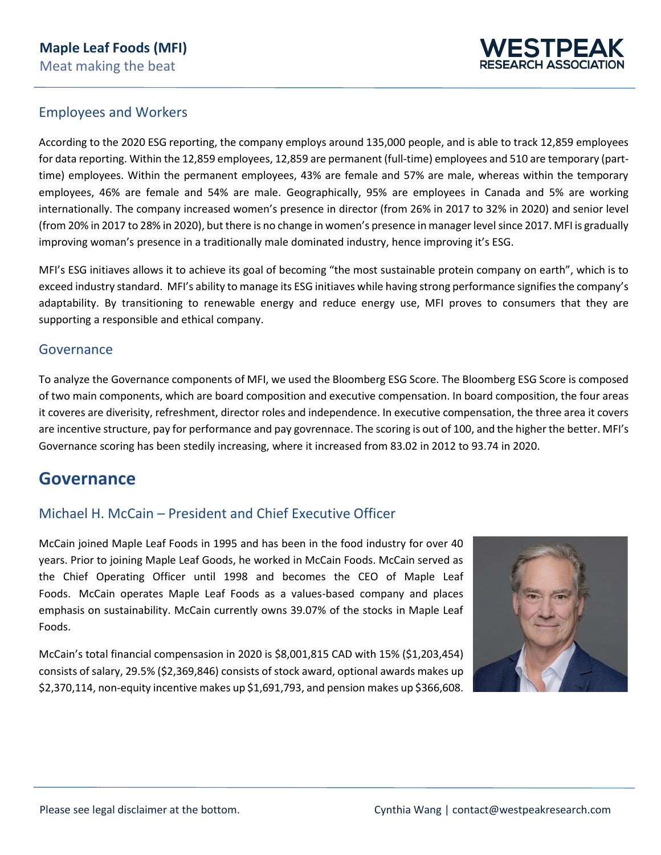

### Employees and Workers

According to the 2020 ESG reporting, the company employs around 135,000 people, and is able to track 12,859 employees for data reporting. Within the 12,859 employees, 12,859 are permanent (full-time) employees and 510 are temporary (parttime) employees. Within the permanent employees, 43% are female and 57% are male, whereas within the temporary employees, 46% are female and 54% are male. Geographically, 95% are employees in Canada and 5% are working internationally. The company increased women's presence in director (from 26% in 2017 to 32% in 2020) and senior level (from 20% in 2017 to 28% in 2020), but there is no change in women's presence in manager level since 2017. MFI is gradually improving woman's presence in a traditionally male dominated industry, hence improving it's ESG.

MFI's ESG initiaves allows it to achieve its goal of becoming "the most sustainable protein company on earth", which is to exceed industry standard. MFI's ability to manage its ESG initiaves while having strong performance signifies the company's adaptability. By transitioning to renewable energy and reduce energy use, MFI proves to consumers that they are supporting a responsible and ethical company.

### **Governance**

To analyze the Governance components of MFI, we used the Bloomberg ESG Score. The Bloomberg ESG Score is composed of two main components, which are board composition and executive compensation. In board composition, the four areas it coveres are diverisity, refreshment, director roles and independence. In executive compensation, the three area it covers are incentive structure, pay for performance and pay govrennace. The scoring is out of 100, and the higher the better. MFI's Governance scoring has been stedily increasing, where it increased from 83.02 in 2012 to 93.74 in 2020.

## **Governance**

## Michael H. McCain – President and Chief Executive Officer

McCain joined Maple Leaf Foods in 1995 and has been in the food industry for over 40 years. Prior to joining Maple Leaf Goods, he worked in McCain Foods. McCain served as the Chief Operating Officer until 1998 and becomes the CEO of Maple Leaf Foods. McCain operates Maple Leaf Foods as a values-based company and places emphasis on sustainability. McCain currently owns 39.07% of the stocks in Maple Leaf Foods.

McCain's total financial compensasion in 2020 is \$8,001,815 CAD with 15% (\$1,203,454) consists of salary, 29.5% (\$2,369,846) consists of stock award, optional awards makes up \$2,370,114, non-equity incentive makes up \$1,691,793, and pension makes up \$366,608.

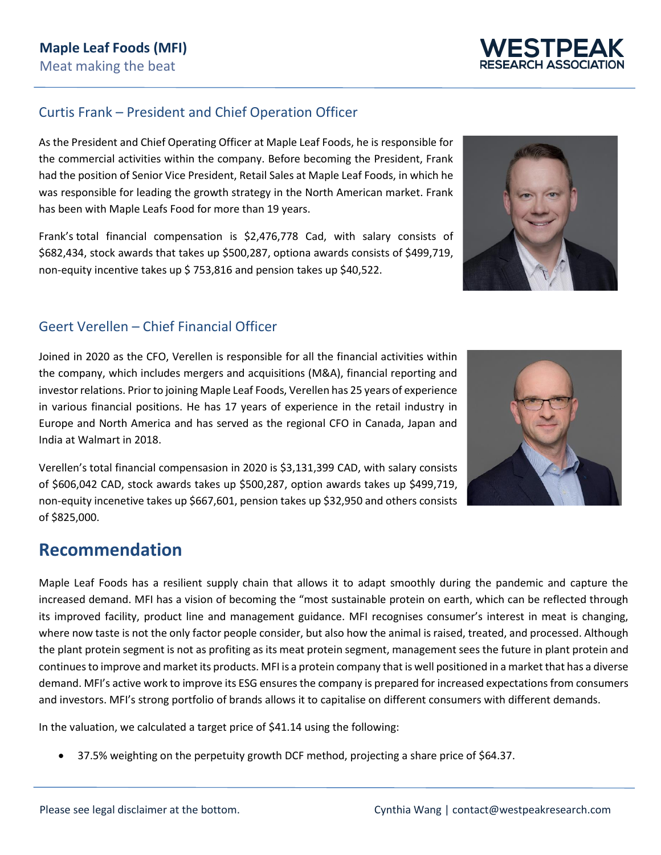## Curtis Frank – President and Chief Operation Officer

As the President and Chief Operating Officer at Maple Leaf Foods, he is responsible for the commercial activities within the company. Before becoming the President, Frank had the position of Senior Vice President, Retail Sales at Maple Leaf Foods, in which he was responsible for leading the growth strategy in the North American market. Frank has been with Maple Leafs Food for more than 19 years.

Frank's total financial compensation is \$2,476,778 Cad, with salary consists of \$682,434, stock awards that takes up \$500,287, optiona awards consists of \$499,719, non-equity incentive takes up \$ 753,816 and pension takes up \$40,522.

## Geert Verellen – Chief Financial Officer

Joined in 2020 as the CFO, Verellen is responsible for all the financial activities within the company, which includes mergers and acquisitions (M&A), financial reporting and investor relations. Prior to joining Maple Leaf Foods, Verellen has 25 years of experience in various financial positions. He has 17 years of experience in the retail industry in Europe and North America and has served as the regional CFO in Canada, Japan and India at Walmart in 2018.

Verellen's total financial compensasion in 2020 is \$3,131,399 CAD, with salary consists of \$606,042 CAD, stock awards takes up \$500,287, option awards takes up \$499,719, non-equity incenetive takes up \$667,601, pension takes up \$32,950 and others consists of \$825,000.

## **Recommendation**

Maple Leaf Foods has a resilient supply chain that allows it to adapt smoothly during the pandemic and capture the increased demand. MFI has a vision of becoming the "most sustainable protein on earth, which can be reflected through its improved facility, product line and management guidance. MFI recognises consumer's interest in meat is changing, where now taste is not the only factor people consider, but also how the animal is raised, treated, and processed. Although the plant protein segment is not as profiting as its meat protein segment, management sees the future in plant protein and continues to improve and market its products. MFI is a protein company that is well positioned in a market that has a diverse demand. MFI's active work to improve its ESG ensures the company is prepared for increased expectations from consumers and investors. MFI's strong portfolio of brands allows it to capitalise on different consumers with different demands.

In the valuation, we calculated a target price of \$41.14 using the following:

• 37.5% weighting on the perpetuity growth DCF method, projecting a share price of \$64.37.





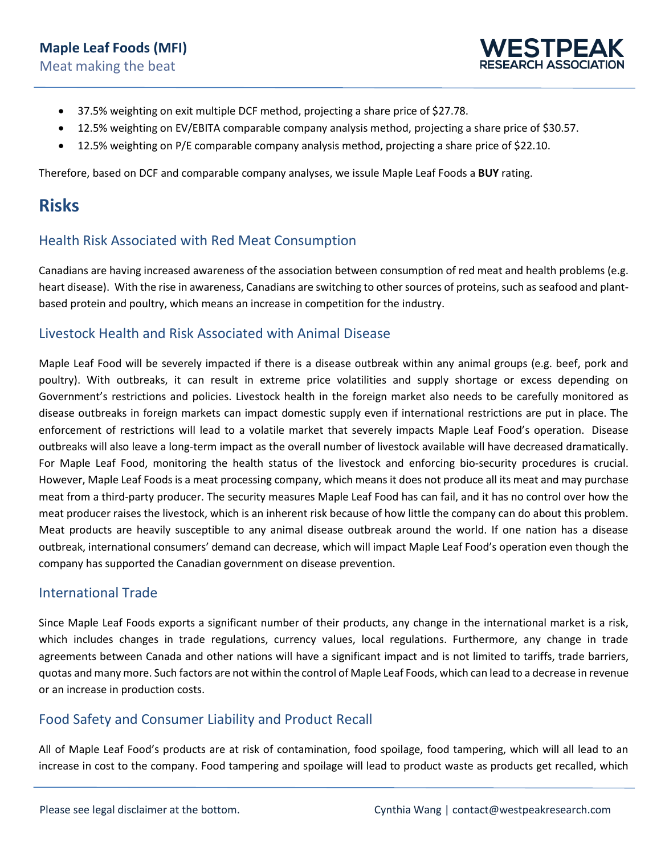

- 37.5% weighting on exit multiple DCF method, projecting a share price of \$27.78.
- 12.5% weighting on EV/EBITA comparable company analysis method, projecting a share price of \$30.57.
- 12.5% weighting on P/E comparable company analysis method, projecting a share price of \$22.10.

Therefore, based on DCF and comparable company analyses, we issule Maple Leaf Foods a **BUY** rating.

## **Risks**

## Health Risk Associated with Red Meat Consumption

Canadians are having increased awareness of the association between consumption of red meat and health problems (e.g. heart disease). With the rise in awareness, Canadians are switching to other sources of proteins, such as seafood and plantbased protein and poultry, which means an increase in competition for the industry.

### Livestock Health and Risk Associated with Animal Disease

Maple Leaf Food will be severely impacted if there is a disease outbreak within any animal groups (e.g. beef, pork and poultry). With outbreaks, it can result in extreme price volatilities and supply shortage or excess depending on Government's restrictions and policies. Livestock health in the foreign market also needs to be carefully monitored as disease outbreaks in foreign markets can impact domestic supply even if international restrictions are put in place. The enforcement of restrictions will lead to a volatile market that severely impacts Maple Leaf Food's operation. Disease outbreaks will also leave a long-term impact as the overall number of livestock available will have decreased dramatically. For Maple Leaf Food, monitoring the health status of the livestock and enforcing bio-security procedures is crucial. However, Maple Leaf Foods is a meat processing company, which means it does not produce all its meat and may purchase meat from a third-party producer. The security measures Maple Leaf Food has can fail, and it has no control over how the meat producer raises the livestock, which is an inherent risk because of how little the company can do about this problem. Meat products are heavily susceptible to any animal disease outbreak around the world. If one nation has a disease outbreak, international consumers' demand can decrease, which will impact Maple Leaf Food's operation even though the company has supported the Canadian government on disease prevention.

### International Trade

Since Maple Leaf Foods exports a significant number of their products, any change in the international market is a risk, which includes changes in trade regulations, currency values, local regulations. Furthermore, any change in trade agreements between Canada and other nations will have a significant impact and is not limited to tariffs, trade barriers, quotas and many more. Such factors are not within the control of Maple Leaf Foods, which can lead to a decrease in revenue or an increase in production costs.

## Food Safety and Consumer Liability and Product Recall

All of Maple Leaf Food's products are at risk of contamination, food spoilage, food tampering, which will all lead to an increase in cost to the company. Food tampering and spoilage will lead to product waste as products get recalled, which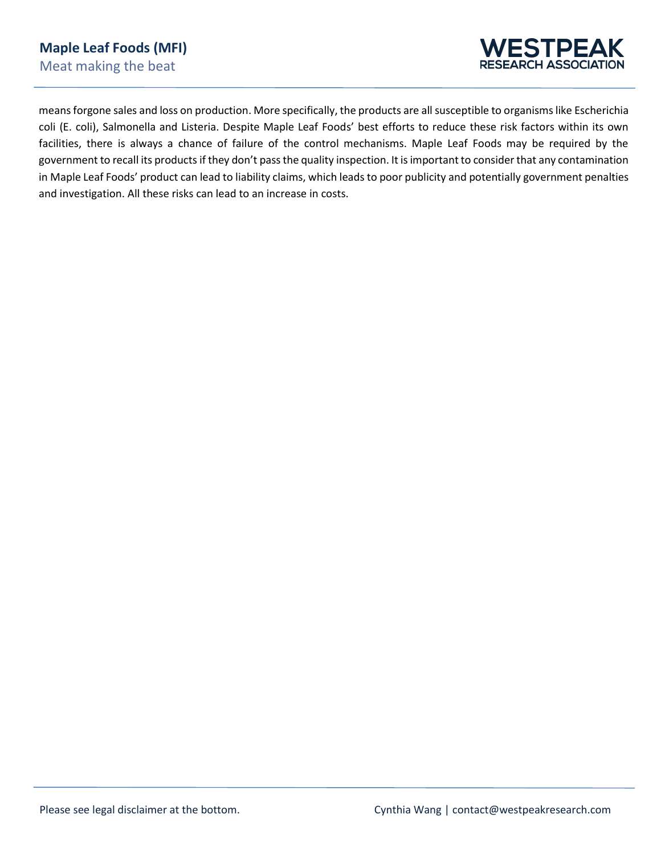

means forgone sales and loss on production. More specifically, the products are all susceptible to organisms like Escherichia coli (E. coli), Salmonella and Listeria. Despite Maple Leaf Foods' best efforts to reduce these risk factors within its own facilities, there is always a chance of failure of the control mechanisms. Maple Leaf Foods may be required by the government to recall its products if they don't passthe quality inspection. It is important to consider that any contamination in Maple Leaf Foods' product can lead to liability claims, which leads to poor publicity and potentially government penalties and investigation. All these risks can lead to an increase in costs.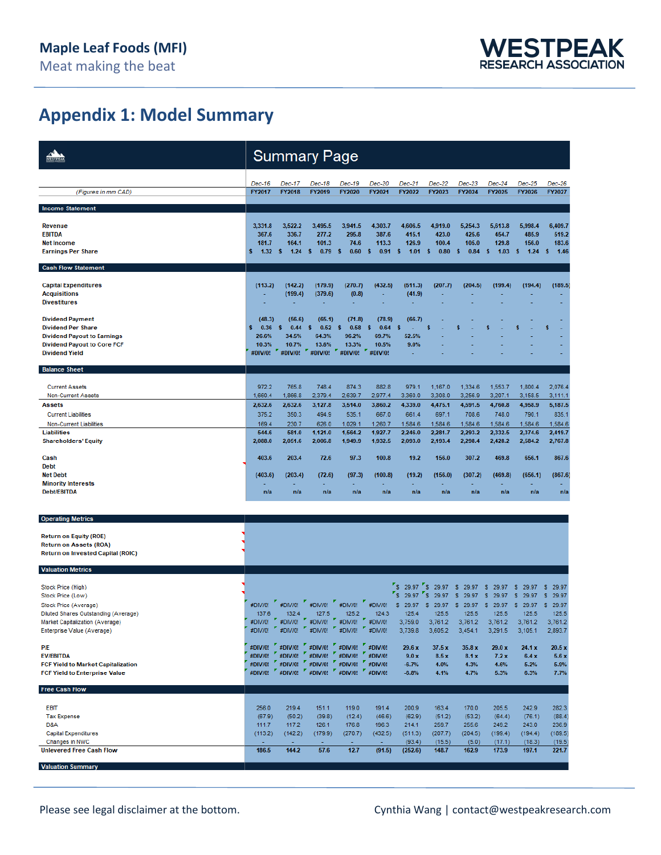## **Appendix 1: Model Summary**

|                                                                                   |                    | <b>Summary Page</b>                                                                |                       |                    |                    |                     |                     |                     |                     |                     |                     |
|-----------------------------------------------------------------------------------|--------------------|------------------------------------------------------------------------------------|-----------------------|--------------------|--------------------|---------------------|---------------------|---------------------|---------------------|---------------------|---------------------|
|                                                                                   | Dec-16             | Dec-17                                                                             | Dec-18                | Dec-19             | Dec-20             | Dec-21              | Dec-22              | $Dec-23$            | $Dec-24$            | Dec-25              | Dec-26              |
| (Figures in mm CAD)                                                               | FY2017             | FY2018                                                                             | FY2019                | FY2020             | FY2021             | FY2022              | FY2023              | FY2024              | FY2025              | FY2026              | FY2027              |
| <b>Income Statement</b>                                                           |                    |                                                                                    |                       |                    |                    |                     |                     |                     |                     |                     |                     |
| Revenue                                                                           | 3,331.8            | 3,522.2                                                                            | 3,495.5               | 3,941.5            | 4,303.7            | 4,606.5             | 4,919.0             | 5,254.3             | 5,613.8             | 5,998.4             | 6,409.7             |
| <b>EBITDA</b>                                                                     | 367.6              | 336.7                                                                              | 277.2                 | 295.8              | 387.6              | 415.1               | 423.0               | 425.6               | 454.7               | 485.9               | 519.2               |
| <b>Net Income</b><br><b>Earnings Per Share</b>                                    | 181.7<br>s<br>1.32 | 164.1<br>1.24<br>s                                                                 | 101.3<br>s<br>0.79    | 74.6<br>0.60<br>s  | 113.3<br>0.91<br>s | 126.9<br>1.01<br>s  | 100.4<br>0.80<br>s  | 105.0<br>s<br>0.84  | 129.8<br>s<br>1.03  | 156.0<br>s<br>1.24  | 183.6<br>1.46<br>s  |
| <b>Cash Flow Statement</b>                                                        |                    |                                                                                    |                       |                    |                    |                     |                     |                     |                     |                     |                     |
| <b>Capital Expenditures</b>                                                       | (113.2)            | (142.2)                                                                            | (179.9)               | (270.7)            | (432.5)            | (511.3)             | (207.7)             | (204.5)             | (199.4)             | (194.4)             | (189.5)             |
| <b>Acquisitions</b>                                                               |                    | (199.4)                                                                            | (379.6)               | (0.8)              | ÷,                 | (41.9)              |                     |                     |                     |                     |                     |
| <b>Divestitures</b>                                                               |                    |                                                                                    |                       |                    |                    |                     |                     |                     |                     |                     |                     |
| <b>Dividend Payment</b>                                                           | (48.3)             | (56.6)                                                                             | (65.1)                | (71.8)             | (78.9)             | (66.7)              |                     |                     |                     |                     |                     |
| <b>Dividend Per Share</b>                                                         | s<br>0.36          | s<br>0.44                                                                          | s<br>0.52             | s<br>0.58          | s<br>0.64          | s                   | S                   |                     |                     |                     | s                   |
| <b>Dividend Payout to Earnings</b><br><b>Dividend Payout to Core FCF</b>          | 26.6%<br>10.3%     | 34.5%<br>10.7%                                                                     | 64.3%<br>13.6%        | 96.2%<br>13.3%     | 69.7%<br>10.5%     | 52.5%<br>9.0%       |                     |                     |                     |                     |                     |
| <b>Dividend Yield</b>                                                             | #DIV/0!            | #DIV/0!                                                                            | #DIV/0!               | #DIV/0!            | #DIV/0!            |                     |                     |                     |                     |                     |                     |
| <b>Balance Sheet</b>                                                              |                    |                                                                                    |                       |                    |                    |                     |                     |                     |                     |                     |                     |
| <b>Current Assets</b>                                                             | 972.2              | 765.8                                                                              | 748.4                 | 874.3              | 882.8              | 979.1               | 1,167.0             | 1,334.6             | 1,553.7             | 1,800.4             | 2,076.4             |
| <b>Non-Current Assets</b>                                                         | 1.660.4            | 1.866.8                                                                            | 2,379.4               | 2,639.7            | 2,977.4            | 3,360.0             | 3,308.0             | 3,256.9             | 3,207.1             | 3,158.5             | 3,111.1             |
| <b>Assets</b>                                                                     | 2,632.6            | 2,632.6                                                                            | 3,127.8               | 3,514.0            | 3,860.2            | 4,339.0             | 4,475.1             | 4,591.5             | 4,760.8             | 4,958.9             | 5,187.5             |
| <b>Current Liabilities</b>                                                        | 375.2              | 350.3                                                                              | 494.9                 | 535.1              | 667.0              | 661.4               | 697.1               | 708.6               | 748.0               | 790.1               | 835.1               |
| <b>Non-Current Liabilities</b><br><b>Liabilities</b>                              | 169.4<br>544.6     | 230.7<br>581.0                                                                     | 626.0<br>1,121.0      | 1,029.1<br>1,564.2 | 1,260.7<br>1,927.7 | 1,584.6<br>2,246.0  | 1,584.6<br>2,281.7  | 1,584.6<br>2,293.2  | 1,584.6<br>2,332.5  | 1,584.6<br>2,374.6  | 1,584.6<br>2,419.7  |
| <b>Shareholders' Equity</b>                                                       | 2,088.0            | 2,051.6                                                                            | 2,006.8               | 1,949.9            | 1,932.5            | 2,093.0             | 2,193.4             | 2,298.4             | 2,428.2             | 2,584.2             | 2,767.8             |
| Cash                                                                              | 403.6              | 203.4                                                                              | 72.6                  | 97.3               | 100.8              | 19.2                | 156.0               | 307.2               | 469.8               | 656.1               | 867.6               |
| <b>Debt</b>                                                                       |                    |                                                                                    |                       |                    |                    |                     |                     |                     |                     |                     |                     |
| <b>Net Debt</b><br><b>Minority Interests</b>                                      | (403.6)            | (203.4)                                                                            | (72.6)                | (97.3)             | (100.8)            | (19.2)              | (156.0)             | (307.2)             | (469.8)             | (656.1)             | (867.6)             |
| <b>Debt/EBITDA</b>                                                                | n/a                | n/a                                                                                | n/a                   | n/a                | n/a                | n/a                 | n/a                 | n/a                 | n/a                 | n/a                 | n/a                 |
|                                                                                   |                    |                                                                                    |                       |                    |                    |                     |                     |                     |                     |                     |                     |
| <b>Operating Metrics</b>                                                          |                    |                                                                                    |                       |                    |                    |                     |                     |                     |                     |                     |                     |
| <b>Return on Equity (ROE)</b>                                                     |                    |                                                                                    |                       |                    |                    |                     |                     |                     |                     |                     |                     |
| <b>Return on Assets (ROA)</b>                                                     |                    |                                                                                    |                       |                    |                    |                     |                     |                     |                     |                     |                     |
| Return on Invested Capital (ROIC)                                                 |                    |                                                                                    |                       |                    |                    |                     |                     |                     |                     |                     |                     |
| <b>Valuation Metrics</b>                                                          |                    |                                                                                    |                       |                    |                    |                     |                     |                     |                     |                     |                     |
| Stock Price (High)                                                                |                    |                                                                                    |                       |                    |                    | S 29.97             | ″s<br>29.97         | 29.97<br>s          | 29.97<br>s          | 29.97<br>s          | s<br>29.97          |
| Stock Price (Low)                                                                 |                    |                                                                                    |                       |                    |                    | ٠s<br>29.97         | 29.97<br>s          | s<br>29.97          | s<br>29.97          | s<br>29.97          | s<br>29.97          |
| Stock Price (Average)                                                             | #DIV/0!<br>137.6   | #DIV/0!<br>132.4                                                                   | #DIV/0!               | #DIV/0!<br>125.2   | #DIV/0!<br>124.3   | s<br>29.97<br>125.4 | s<br>29.97<br>125.5 | s<br>29.97<br>125.5 | s<br>29.97<br>125.5 | s<br>29.97<br>125.5 | s<br>29.97<br>125.5 |
| Diluted Shares Outstanding (Average)<br>Market Capitalization (Average)           | #DM/0!             | #DIV/0!                                                                            | 127.5<br>Σ<br>#DIV/0! | #DM/0!             | #DIV/0!            | 3,759.0             | 3,761.2             | 3,761.2             | 3,761.2             | 3,761.2             | 3,761.2             |
| Enterprise Value (Average)                                                        | #DIV/0!            | #DM/0!                                                                             | #DM/0!                | #Div/0!            | #DM/0!             | 3,739.8             | 3,605.2             | 3,454.1             | 3,291.5             | 3,105.1             | 2,893.7             |
| <b>P/E</b>                                                                        |                    | #DIV/0! #DIV/0! #DIV/0! #DIV/0! #DIV/0!                                            |                       |                    |                    | 29.6 x              | 37.5 x              | 35.8 x              | 29.0 x              | 24.1 x              | 20.5x               |
| <b>EV/EBITDA</b>                                                                  | #DIV/0!            | #DIV/0!                                                                            | #DIV/0!               | #DIV/0!            | #DIV/0!            | 9.0 x               | 8.5x                | 8.1 x               | 7.2x                | 6.4x                | 5.6x                |
| <b>FCF Yield to Market Capitalization</b><br><b>FCF Yield to Enterprise Value</b> | #DIV/0!            | " #DIV/0! " #DIV/0! " #DIV/0! " #DIV/0!<br>#DIV/0! #DIV/0! #DIV/0! #DIV/0! #DIV/0! |                       |                    |                    | $-6.7%$<br>$-6.8%$  | 4.0%<br>4.1%        | 4.3%<br>4.7%        | 4.6%<br>5.3%        | 5.2%<br>6.3%        | 5.9%<br>7.7%        |
| <b>Free Cash Flow</b>                                                             |                    |                                                                                    |                       |                    |                    |                     |                     |                     |                     |                     |                     |
|                                                                                   |                    |                                                                                    |                       |                    |                    |                     |                     |                     |                     |                     |                     |
| <b>EBIT</b>                                                                       | 256.0              | 219.4                                                                              | 151.1                 | 119.0              | 191.4              | 200.9               | 163.4               | 170.0               | 205.5               | 242.9               | 282.3               |
| <b>Tax Expense</b><br>D&A                                                         | (67.9)<br>111.7    | (50.2)<br>117.2                                                                    | (39.8)<br>126.1       | (12.4)<br>176.8    | (46.6)<br>196.3    | (62.9)<br>214.1     | (51.2)<br>259.7     | (53.2)<br>255.6     | (64.4)<br>249.2     | (76.1)<br>243.0     | (88.4)<br>236.9     |
| <b>Capital Expenditures</b>                                                       | (113.2)            | (142.2)                                                                            | (179.9)               | (270.7)            | (432.5)            | (511.3)             | (207.7)             | (204.5)             | (199.4)             | (194.4)             | (189.5)             |
| Changes in NWC                                                                    |                    | 144.2                                                                              |                       | 12.7               |                    | (93.4)              | (15.5)              | (5.0)               | (17.1)              | (18.3)              | (19.5)              |
| <b>Unlevered Free Cash Flow</b>                                                   | 186.5              |                                                                                    | 57.6                  |                    | (91.5)             | (252.6)             | 148.7               | 162.9               | 173.9               | 197.1               | 221.7               |
| <b>Valuation Summary</b>                                                          |                    |                                                                                    |                       |                    |                    |                     |                     |                     |                     |                     |                     |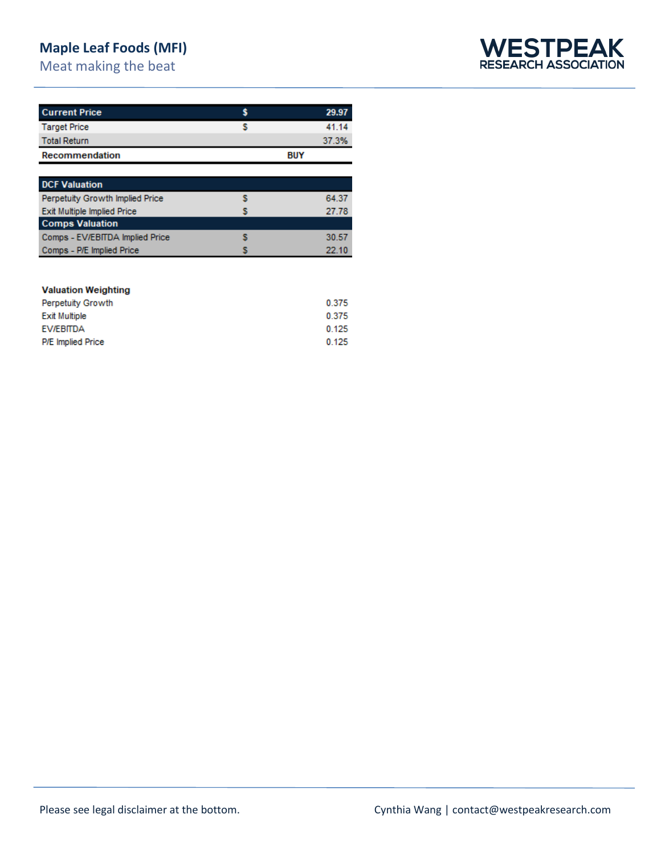## **Maple Leaf Foods (MFI)**

Meat making the beat



| <b>Current Price</b>  |            | 29.97 |
|-----------------------|------------|-------|
| <b>Target Price</b>   |            | 41.14 |
| <b>Total Return</b>   |            | 37.3% |
| <b>Recommendation</b> | <b>BUY</b> |       |

| <b>DCF Valuation</b>               |       |
|------------------------------------|-------|
|                                    |       |
| Perpetuity Growth Implied Price    | 64.37 |
| <b>Exit Multiple Implied Price</b> | 27.78 |
| <b>Comps Valuation</b>             |       |
| Comps - EV/EBITDA Implied Price    | 30.57 |
| Comps - P/E Implied Price          | 22.10 |

#### **Valuation Weighting**

| <b>Perpetuity Growth</b> | 0.375 |
|--------------------------|-------|
| <b>Exit Multiple</b>     | 0.375 |
| EV/EBITDA                | 0.125 |
| <b>P/E</b> Implied Price | 0.125 |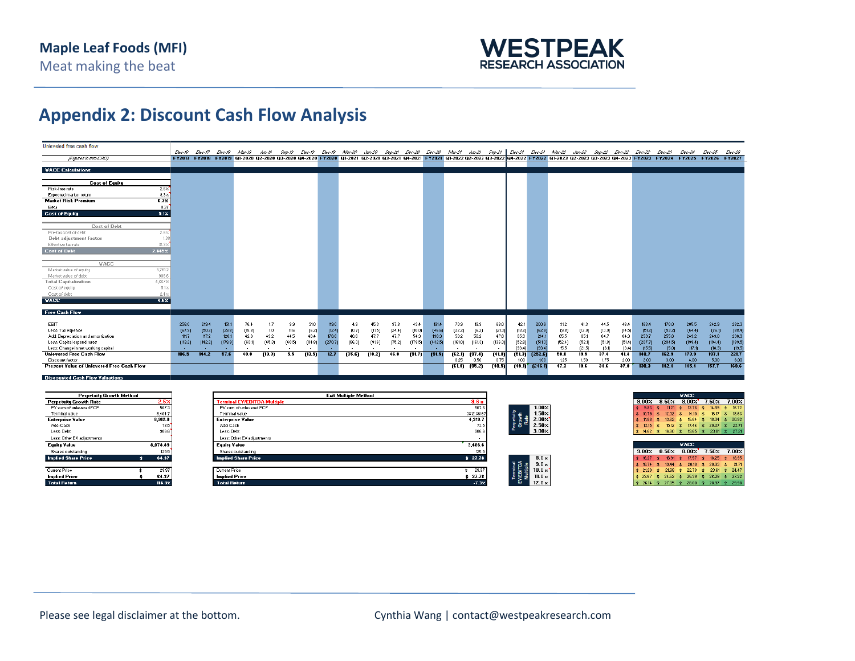

## **Appendix 2: Discount Cash Flow Analysis**

| Unleveled free cash flow                                          |         |                                                                                                                                                                                                        |         |               |        |        |        |         |        |        |        |         |         |         |                   |         |                  |                   |                                                                                                                                       |                  |                 |                 |                   |                  |                   |                   |                   |
|-------------------------------------------------------------------|---------|--------------------------------------------------------------------------------------------------------------------------------------------------------------------------------------------------------|---------|---------------|--------|--------|--------|---------|--------|--------|--------|---------|---------|---------|-------------------|---------|------------------|-------------------|---------------------------------------------------------------------------------------------------------------------------------------|------------------|-----------------|-----------------|-------------------|------------------|-------------------|-------------------|-------------------|
| (Figures in mm CAD)                                               | Dec-16  | Dec-17<br>FY2017 FY2018 FY2019 Q1-2020 Q2-2020 Q3-2020 Q4-2020 FY2020 Q1-2021 Q2-2021 Q4-2021 FY2021 Q1-2022 Q2-2022 Q3-2022 Q1-2022 C1-2023 Q2-2023 Q3-2023 FY2023 FY2023 FY2024 FY2025 FY2026 FY2027 |         | Dec-18 Nar-19 |        |        |        |         |        |        |        |         |         |         |                   |         |                  |                   | -Jun-19 Sep-19 Dec-19 Dec-19 Mar-20 Jun-20 Sep-20 Dec-20 Mar-21 Jun-21 Sep-21 Dec-21 Dec-21 Mar-22 Jun-22 Sep-22 Dec-22 Dec-22 Dec-23 |                  |                 |                 |                   |                  | Пес-24            | <b>Пес-25</b>     | Dec-26            |
|                                                                   |         |                                                                                                                                                                                                        |         |               |        |        |        |         |        |        |        |         |         |         |                   |         |                  |                   |                                                                                                                                       |                  |                 |                 |                   |                  |                   |                   |                   |
| <b>VACC Calculations</b>                                          |         |                                                                                                                                                                                                        |         |               |        |        |        |         |        |        |        |         |         |         |                   |         |                  |                   |                                                                                                                                       |                  |                 |                 |                   |                  |                   |                   |                   |
|                                                                   |         |                                                                                                                                                                                                        |         |               |        |        |        |         |        |        |        |         |         |         |                   |         |                  |                   |                                                                                                                                       |                  |                 |                 |                   |                  |                   |                   |                   |
| <b>Cost of Equity</b>                                             |         |                                                                                                                                                                                                        |         |               |        |        |        |         |        |        |        |         |         |         |                   |         |                  |                   |                                                                                                                                       |                  |                 |                 |                   |                  |                   |                   |                   |
| 2.6%<br><b>Risk-free rate</b>                                     |         |                                                                                                                                                                                                        |         |               |        |        |        |         |        |        |        |         |         |         |                   |         |                  |                   |                                                                                                                                       |                  |                 |                 |                   |                  |                   |                   |                   |
| $9.3\times$<br>Expected market return                             |         |                                                                                                                                                                                                        |         |               |        |        |        |         |        |        |        |         |         |         |                   |         |                  |                   |                                                                                                                                       |                  |                 |                 |                   |                  |                   |                   |                   |
| 6.7%<br><b>Market Risk Premium</b>                                |         |                                                                                                                                                                                                        |         |               |        |        |        |         |        |        |        |         |         |         |                   |         |                  |                   |                                                                                                                                       |                  |                 |                 |                   |                  |                   |                   |                   |
| 0.37<br>Beta                                                      |         |                                                                                                                                                                                                        |         |               |        |        |        |         |        |        |        |         |         |         |                   |         |                  |                   |                                                                                                                                       |                  |                 |                 |                   |                  |                   |                   |                   |
| <b>Cost of Equity</b><br>5.1%                                     |         |                                                                                                                                                                                                        |         |               |        |        |        |         |        |        |        |         |         |         |                   |         |                  |                   |                                                                                                                                       |                  |                 |                 |                   |                  |                   |                   |                   |
| Cost of Debt                                                      |         |                                                                                                                                                                                                        |         |               |        |        |        |         |        |        |        |         |         |         |                   |         |                  |                   |                                                                                                                                       |                  |                 |                 |                   |                  |                   |                   |                   |
| Pre-tax cost of debt<br>2.6%                                      |         |                                                                                                                                                                                                        |         |               |        |        |        |         |        |        |        |         |         |         |                   |         |                  |                   |                                                                                                                                       |                  |                 |                 |                   |                  |                   |                   |                   |
| Debt adjustment factor<br>1.38                                    |         |                                                                                                                                                                                                        |         |               |        |        |        |         |        |        |        |         |         |         |                   |         |                  |                   |                                                                                                                                       |                  |                 |                 |                   |                  |                   |                   |                   |
| 31.3%<br>Effective tax rate                                       |         |                                                                                                                                                                                                        |         |               |        |        |        |         |        |        |        |         |         |         |                   |         |                  |                   |                                                                                                                                       |                  |                 |                 |                   |                  |                   |                   |                   |
| <b>Cost of Debt</b><br>2.445%                                     |         |                                                                                                                                                                                                        |         |               |        |        |        |         |        |        |        |         |         |         |                   |         |                  |                   |                                                                                                                                       |                  |                 |                 |                   |                  |                   |                   |                   |
|                                                                   |         |                                                                                                                                                                                                        |         |               |        |        |        |         |        |        |        |         |         |         |                   |         |                  |                   |                                                                                                                                       |                  |                 |                 |                   |                  |                   |                   |                   |
| <b>VACC</b>                                                       |         |                                                                                                                                                                                                        |         |               |        |        |        |         |        |        |        |         |         |         |                   |         |                  |                   |                                                                                                                                       |                  |                 |                 |                   |                  |                   |                   |                   |
| 3,761.2<br>Market value of equity                                 |         |                                                                                                                                                                                                        |         |               |        |        |        |         |        |        |        |         |         |         |                   |         |                  |                   |                                                                                                                                       |                  |                 |                 |                   |                  |                   |                   |                   |
| 906.6<br>Market value of debt                                     |         |                                                                                                                                                                                                        |         |               |        |        |        |         |        |        |        |         |         |         |                   |         |                  |                   |                                                                                                                                       |                  |                 |                 |                   |                  |                   |                   |                   |
| <b>Total Capitalization</b><br>4,667.8                            |         |                                                                                                                                                                                                        |         |               |        |        |        |         |        |        |        |         |         |         |                   |         |                  |                   |                                                                                                                                       |                  |                 |                 |                   |                  |                   |                   |                   |
| 5.1%<br>Cost of equity<br>Cost of debt                            |         |                                                                                                                                                                                                        |         |               |        |        |        |         |        |        |        |         |         |         |                   |         |                  |                   |                                                                                                                                       |                  |                 |                 |                   |                  |                   |                   |                   |
| 2.4%<br>4.6%<br><b>VALL</b>                                       |         |                                                                                                                                                                                                        |         |               |        |        |        |         |        |        |        |         |         |         |                   |         |                  |                   |                                                                                                                                       |                  |                 |                 |                   |                  |                   |                   |                   |
|                                                                   |         |                                                                                                                                                                                                        |         |               |        |        |        |         |        |        |        |         |         |         |                   |         |                  |                   |                                                                                                                                       |                  |                 |                 |                   |                  |                   |                   |                   |
| <b>Free Cash Flow</b>                                             |         |                                                                                                                                                                                                        |         |               |        |        |        |         |        |        |        |         |         |         |                   |         |                  |                   |                                                                                                                                       |                  |                 |                 |                   |                  |                   |                   |                   |
|                                                                   |         |                                                                                                                                                                                                        |         |               |        |        |        |         |        |        |        |         |         |         |                   |         |                  |                   |                                                                                                                                       |                  |                 |                 |                   |                  |                   |                   |                   |
| EBIT                                                              | 256.0   | 219.4                                                                                                                                                                                                  | 151.1   | 76.4          | 1.7    | 9.9    | 31.0   | 119.0   | 4.9    | 45.3   | 97.8   | 43.4    | 191.4   | 70.9    | 19.9              | 68.0    | 42.1             | 200.9             | 31.2                                                                                                                                  | 41.3             | 44.5            | 46.4            | 163.4             | 170.0            | 205.5             | 242.9             | 282.3             |
| Less: Tax expense                                                 | (67.9)  | (50.2)                                                                                                                                                                                                 | (39.8)  | (18.8)        | 1.0    | 11.6   | (6.2)  | (12.4)  | (0.7)  | (11.5) | [24.4] | (10.0)  | (46.6)  | [22.2]  | [6.2]             | [21.3]  | (13.2)           | (62.9)            | (9.8)                                                                                                                                 | (12.9)           | (13.9)          | (14.5)          | (51.2)            | (53.2)           | (64.4)            | (76.1)            | (88.4)            |
| Add: Depreciation and amortization                                | 111.7   | 117.2                                                                                                                                                                                                  | 126.1   | 42.6          | 43.2   | 44.5   | 46.4   | 176.8   | 46.6   | 47.7   | 47.7   | 54.3    | 196.3   | 50.2    | 50.2              | 47.8    | 65.9             | 214.1             | 65.5                                                                                                                                  | 65.1             | 64.7            | 64.3            | 259.7             | 255.6            | 249.2             | 243.0             | 236.9             |
| Less: Capital expenditures<br>Less: Change in net working capital | [113.2] | [142.2]                                                                                                                                                                                                | [179.9] | (60.1)        | [65.3] | [60.5] | [84.8] | (270.7) | [86.3] | [91.6] | (75.2) | (179.5) | [432.5] | [161.0] | [161.3]           | (136.3) | (52.8)<br>(93.4) | [511.3]<br>[93.4] | (52.4)<br>15.5                                                                                                                        | (52.1)<br>(21.5) | [51.8]<br>(6.1) | [51.4]<br>[3.4] | [207.7]<br>(15.5) | [204.5]<br>(5.0) | [199.4]<br>(17.1) | [194.4]<br>(18.3) | (189.5)<br>(19.5) |
| <b>Unlevered Free Cash Flow</b>                                   | 186.5   | 144.2                                                                                                                                                                                                  | 57.6    | 40.0          | (19.3) | 5.5    | (13.5) | 12.7    | [35.6] | (10.2) | 46.0   | [91.7]  | (91.5)  | (62.1)  | (97.4)            | [41.8]  | [51.3]           | [252.6]           | 50.0                                                                                                                                  | 19.9             | 37.4            | 41.4            | 148.7             | 162.9            | 173.9             | 197.1             | 221.7             |
| Discount factor                                                   |         |                                                                                                                                                                                                        |         |               |        |        |        |         |        |        |        |         |         | 0.25    | 0.50              | 0.75    | 1.00             | 1.00              | 1.25                                                                                                                                  | 1.50             | 1.75            | 2.00            | 2.00              | 3.00             | 4.00              | 5.00              | 6.00              |
| Present Value of Unlevered Free Cash Flow                         |         |                                                                                                                                                                                                        |         |               |        |        |        |         |        |        |        |         |         |         | $[61.4]$ $[95.2]$ | (10.5)  | 149.11           | [246.1]           | 47.3                                                                                                                                  | 18.6             | 34.6            | 37.8            | 138.3             | 142.4            | 145.4             | 157.7             | 169.6             |
|                                                                   |         |                                                                                                                                                                                                        |         |               |        |        |        |         |        |        |        |         |         |         |                   |         |                  |                   |                                                                                                                                       |                  |                 |                 |                   |                  |                   |                   |                   |

| Perpetuity Growth Method      |   |          |  |  |  |  |  |  |  |
|-------------------------------|---|----------|--|--|--|--|--|--|--|
| <b>Perpetuity Growth Rate</b> |   | 2.5%     |  |  |  |  |  |  |  |
| PV sum of unlevered FCF       |   | 507.3    |  |  |  |  |  |  |  |
| Terminal value                |   | 8.404.7  |  |  |  |  |  |  |  |
| <b>Enterprise Value</b>       |   | 8.912.0  |  |  |  |  |  |  |  |
| Add: Cash                     |   | 73.5     |  |  |  |  |  |  |  |
| Less: Debt                    |   | 306.6    |  |  |  |  |  |  |  |
| Less: Other EV adjustments    |   |          |  |  |  |  |  |  |  |
| <b>Equity Value</b>           |   | 8.078.89 |  |  |  |  |  |  |  |
| Shares outstanding            |   | 125.5    |  |  |  |  |  |  |  |
| <b>Implied Share Price</b>    |   | 64.37    |  |  |  |  |  |  |  |
| Current Price                 | ۰ | 29.97    |  |  |  |  |  |  |  |
| <b>Implied Price</b>          |   | 64.37    |  |  |  |  |  |  |  |
| <b>Total Return</b>           |   | 114.8%   |  |  |  |  |  |  |  |

| 9.6 <sub>8</sub> |                                               |
|------------------|-----------------------------------------------|
| 507.3            | $1.00 \times$                                 |
| 3812.36167       | 1.50 <sub>2</sub>                             |
| 4.319.7          | Perpetuity<br>Growth<br>Rate<br>$2.00 \times$ |
| 73.5             | 2.50 <sub>7</sub>                             |
|                  | $3.00 \times$                                 |
|                  |                                               |
| 3,486.6          |                                               |
| 125.5            |                                               |
| \$27.78          | 8.0 x                                         |
|                  | Terminal<br>EV/EBITDA<br>9.0 <sub>8</sub>     |
| 29.97<br>¢.      | 10.0 <sub>3</sub>                             |
| \$27.78          | Multiple<br>11.0 <sub>8</sub>                 |
| $-7.3\times$     | $12.0*$                                       |
|                  | 906.6                                         |

|      | VACC              |       |       |    |              |    |                   |       |       |       |  |  |  |
|------|-------------------|-------|-------|----|--------------|----|-------------------|-------|-------|-------|--|--|--|
|      | 9.00%<br>8.50%    |       | 8.00% |    |              |    |                   |       | 7.50% | 7.00% |  |  |  |
| s.   | 9.83              | 金     | 11.21 | 峹  | 12.78        | Ś  | 14.59             | \$    | 16.72 |       |  |  |  |
| Ś.   | 10.79             | Ś.    | 12.32 | \$ | 14.10        | \$ | 16.17             | \$    | 18.63 |       |  |  |  |
| Ś    | 11.88             | 金     | 13.62 | 岔  | 15.64        | Ś. | 18.04             | Ś     | 20.92 |       |  |  |  |
| \$   | 13.15             | \$    | 15.12 | \$ | 17.46        | \$ | 20.27             | 李     | 23.71 |       |  |  |  |
| Ś.   | 14.62             | \$    | 16.90 | \$ | 19.65        | \$ | 23.01             | \$    | 27.21 |       |  |  |  |
|      |                   |       |       |    |              |    |                   |       |       |       |  |  |  |
| VACC |                   |       |       |    |              |    |                   |       |       |       |  |  |  |
|      | 3.00 <sub>2</sub> | 8.50% |       |    | $8.00\times$ |    | 7.50 <sub>2</sub> | 7.00% |       |       |  |  |  |
|      |                   |       |       |    |              |    |                   |       |       |       |  |  |  |

|  |  |  |  | 3.00% 8.50% 8.00% 7.50% 7.00%                                                                                                                                                                                                                                                                  |  |
|--|--|--|--|------------------------------------------------------------------------------------------------------------------------------------------------------------------------------------------------------------------------------------------------------------------------------------------------|--|
|  |  |  |  |                                                                                                                                                                                                                                                                                                |  |
|  |  |  |  |                                                                                                                                                                                                                                                                                                |  |
|  |  |  |  |                                                                                                                                                                                                                                                                                                |  |
|  |  |  |  |                                                                                                                                                                                                                                                                                                |  |
|  |  |  |  | $\begin{array}{cccccccccccc} 18 & 16.27 & 18 & 18 & 17 & 17 & 18 & 18.25 & 18 & 18.95 \\ 20 & 18 & 18 & 14 & 18 & 14 & 18 & 20.18 & 18 & 20.33 & 18 & 21.71 \\ 32 & 21 & 2 & 18 & 2 & 18 & 18 & 22.78 & 18 & 22.81 & 18 & 24.47 \\ 42 & 22.67 & 4 & 24.52 & 4 & 22.53 & 18 & 26.29 & 18 & 24.$ |  |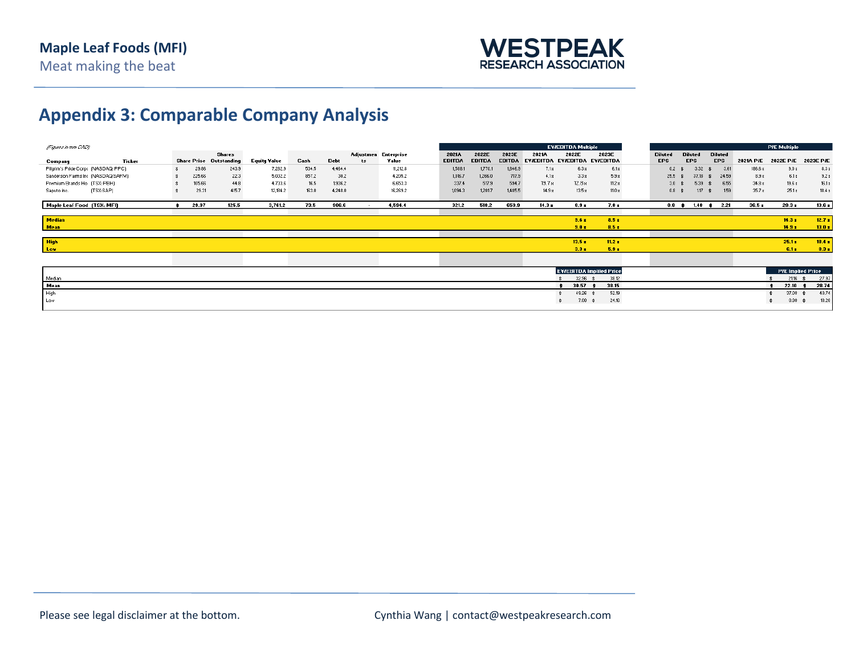

## **Appendix 3: Comparable Company Analysis**

| (Figures in mm CAD)                 |           |        |        |                                |                     |       |             |                          |                             |               |               |               |                     | <b>EV/EBITDA Multiple</b> |                                 |                |                                   |                  |                  | <b>PIE Multiple</b>      |           |
|-------------------------------------|-----------|--------|--------|--------------------------------|---------------------|-------|-------------|--------------------------|-----------------------------|---------------|---------------|---------------|---------------------|---------------------------|---------------------------------|----------------|-----------------------------------|------------------|------------------|--------------------------|-----------|
|                                     |           |        |        | <b>Shares</b>                  |                     |       |             |                          | <b>Adjustmen Enterprise</b> | 2021A         | 2022E         | 2023E         | 2021A               | 2022E                     | 2023E                           | <b>Diluted</b> | <b>Diluted</b>                    | <b>Diluted</b>   |                  |                          |           |
| Company                             |           | Ticker |        | <b>Share Price Outstanding</b> | <b>Equity Value</b> | Cash  | <b>Debt</b> | ts                       | Value                       | <b>EBITDA</b> | <b>EBITDA</b> | <b>EBITDA</b> | EV/EBITDA EV/EBITDA |                           | <b>EV/EBITDA</b>                | <b>EPS</b>     | <b>EPS</b>                        | <b>EPS</b>       | <b>2021A PIE</b> | <b>2022E PIE</b>         | 2023E P/E |
| Pilgrim's Pride Corp: (NASDAQ: PPC) |           |        | 29.86  | 243.9                          | 7,282.9             | 534.5 | 4,464.4     |                          | 11,212.8                    | 1,588.1       | 1,770.1       | 1,846.9       | 7.1 <sub>8</sub>    | 6.3 <sub>8</sub>          | 6.1 <sub>8</sub>                | 0.2            | 3.32                              | 3.61<br>- 33     | 186.6 x          | 9.0 <sub>8</sub>         | 8.3 x     |
| Sanderson Farms Inc (NASDAQ:SAFM)   |           | 225.66 | 22.3   | 5,032.2                        | 857.2               | 30.2  |             | 4,205.2                  | 1,016.7                     | 1,266.0       | 717.9         | 4.1x          | 3.3 <sub>8</sub>    | 5.9 <sub>8</sub>          | 25.5                            | 37.18          | 24.59<br>\$.                      | 8.9 <sub>8</sub> | 6.1 <sub>8</sub> | 9.2 x                    |           |
| Premium Brands Ho (TSX: PBH)        |           |        | 105.66 | 44.8                           | 4,733.6             | 16.5  | 1,936.2     |                          | 6,653.3                     | 337.4         | 517.9         | 594.7         | 19.7 <sub>8</sub>   | 12.8 <sub>8</sub>         | 11.2 <sub>8</sub>               | 3.0            | 5.39                              | 6.55             | 34.8 x           | 19.6 <sub>8</sub>        | 16.1 x    |
| Saputo Inc.                         | (TSX:SAP) |        | 29.31  | 415.7                          | 12,184.2            | 163.0 | 4,248.0     |                          | 16,269.2                    | 1,094.3       | 1,201.7       | 1,485.5       | 14.9 x              | 13.5 x                    | 11.0 x                          | 0.8            | $1.17$ \$                         | 1.59             | 35.7 x           | 25.1 x                   | 18.4 x    |
|                                     |           |        |        |                                |                     |       |             |                          |                             |               |               |               |                     |                           |                                 |                |                                   |                  |                  |                          |           |
| Maple Leaf Food (TSX: MFI)          |           |        | 29.97  | 125.5                          | 3,761.2             | 73.5  | 3.308       | $\overline{\phantom{a}}$ | 4,594.4                     | 321.2         | 518.2         | 659.9         | 14.3x               | 8.9 x                     | 7.0 x                           |                | $0.8$ $\sharp$ 1.48 $\sharp$ 2.21 |                  | 36.5x            | $20.3*$                  | 13.6x     |
|                                     |           |        |        |                                |                     |       |             |                          |                             |               |               |               |                     |                           |                                 |                |                                   |                  |                  |                          |           |
| <b>Median</b>                       |           |        |        |                                |                     |       |             |                          |                             |               |               |               |                     | 9.6 x                     | 8.5 <sub>z</sub>                |                |                                   |                  |                  | $14.3 -$                 | 12.7x     |
| <b>Mean</b>                         |           |        |        |                                |                     |       |             |                          |                             |               |               |               |                     | 9.0 x                     | 8.5 <sub>z</sub>                |                |                                   |                  |                  | 14.9 x                   | 13.0x     |
|                                     |           |        |        |                                |                     |       |             |                          |                             |               |               |               |                     |                           |                                 |                |                                   |                  |                  |                          |           |
| High                                |           |        |        |                                |                     |       |             |                          |                             |               |               |               |                     | 13.5x                     | 11.2x                           |                |                                   |                  |                  | $25.1 -$                 | 18.4 x    |
| Low                                 |           |        |        |                                |                     |       |             |                          |                             |               |               |               |                     | 3.3 x                     | 5.9 x                           |                |                                   |                  |                  | 6.1 <sub>8</sub>         | 8.3 x     |
|                                     |           |        |        |                                |                     |       |             |                          |                             |               |               |               |                     |                           |                                 |                |                                   |                  |                  |                          |           |
|                                     |           |        |        |                                |                     |       |             |                          |                             |               |               |               |                     |                           |                                 |                |                                   |                  |                  |                          |           |
|                                     |           |        |        |                                |                     |       |             |                          |                             |               |               |               |                     |                           | <b>EV/EBITDA Impliled Price</b> |                |                                   |                  |                  | <b>PIE Implied Price</b> |           |
| Median                              |           |        |        |                                |                     |       |             |                          |                             |               |               |               |                     | $32.96$ \$                | 38.12                           |                |                                   |                  |                  | $21.16$ \$               | 27.97     |
| Mean                                |           |        |        |                                |                     |       |             |                          |                             |               |               |               |                     | 30.57                     | 38.15<br>$\cdot$                |                |                                   |                  |                  | $22.10 \div$             | 28.74     |
| High                                |           |        |        |                                |                     |       |             |                          |                             |               |               |               |                     | 49.26 \$                  | 52.19                           |                |                                   |                  |                  | 37.08 \$                 | 40.74     |
| Low                                 |           |        |        |                                |                     |       |             |                          |                             |               |               |               |                     | $7.08$ \$                 | 24.16                           |                |                                   |                  |                  | $8.98$ $$$               | 18.28     |
|                                     |           |        |        |                                |                     |       |             |                          |                             |               |               |               |                     |                           |                                 |                |                                   |                  |                  |                          |           |